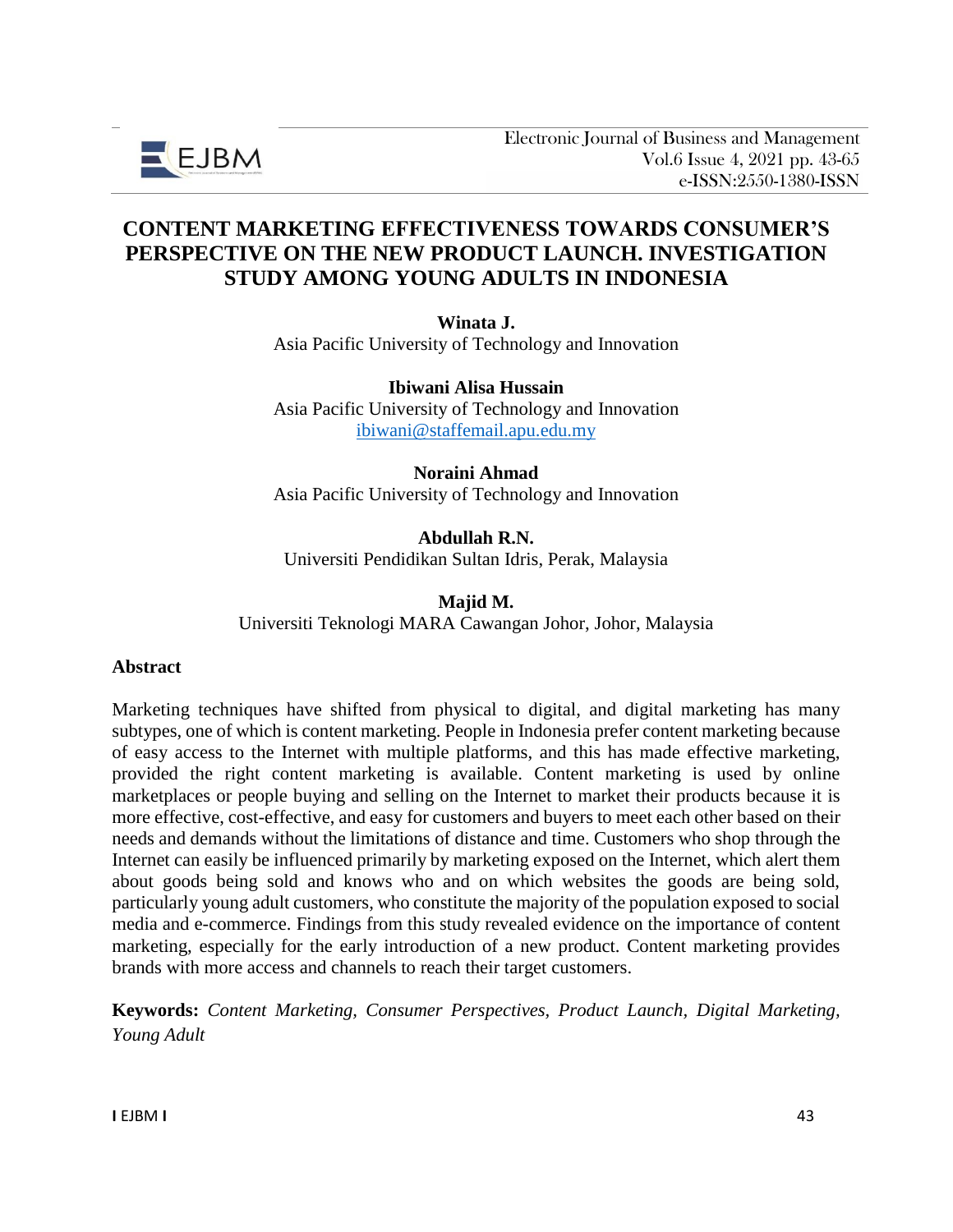

# **CONTENT MARKETING EFFECTIVENESS TOWARDS CONSUMER'S PERSPECTIVE ON THE NEW PRODUCT LAUNCH. INVESTIGATION STUDY AMONG YOUNG ADULTS IN INDONESIA**

### **Winata J.**

Asia Pacific University of Technology and Innovation

**Ibiwani Alisa Hussain** Asia Pacific University of Technology and Innovation [ibiwani@staffemail.apu.edu.my](mailto:ibiwani@staffemail.apu.edu.my)

**Noraini Ahmad** Asia Pacific University of Technology and Innovation

**Abdullah R.N.** Universiti Pendidikan Sultan Idris, Perak, Malaysia

#### **Majid M.**

Universiti Teknologi MARA Cawangan Johor, Johor, Malaysia

#### **Abstract**

Marketing techniques have shifted from physical to digital, and digital marketing has many subtypes, one of which is content marketing. People in Indonesia prefer content marketing because of easy access to the Internet with multiple platforms, and this has made effective marketing, provided the right content marketing is available. Content marketing is used by online marketplaces or people buying and selling on the Internet to market their products because it is more effective, cost-effective, and easy for customers and buyers to meet each other based on their needs and demands without the limitations of distance and time. Customers who shop through the Internet can easily be influenced primarily by marketing exposed on the Internet, which alert them about goods being sold and knows who and on which websites the goods are being sold, particularly young adult customers, who constitute the majority of the population exposed to social media and e-commerce. Findings from this study revealed evidence on the importance of content marketing, especially for the early introduction of a new product. Content marketing provides brands with more access and channels to reach their target customers.

**Keywords:** *Content Marketing, Consumer Perspectives, Product Launch, Digital Marketing, Young Adult*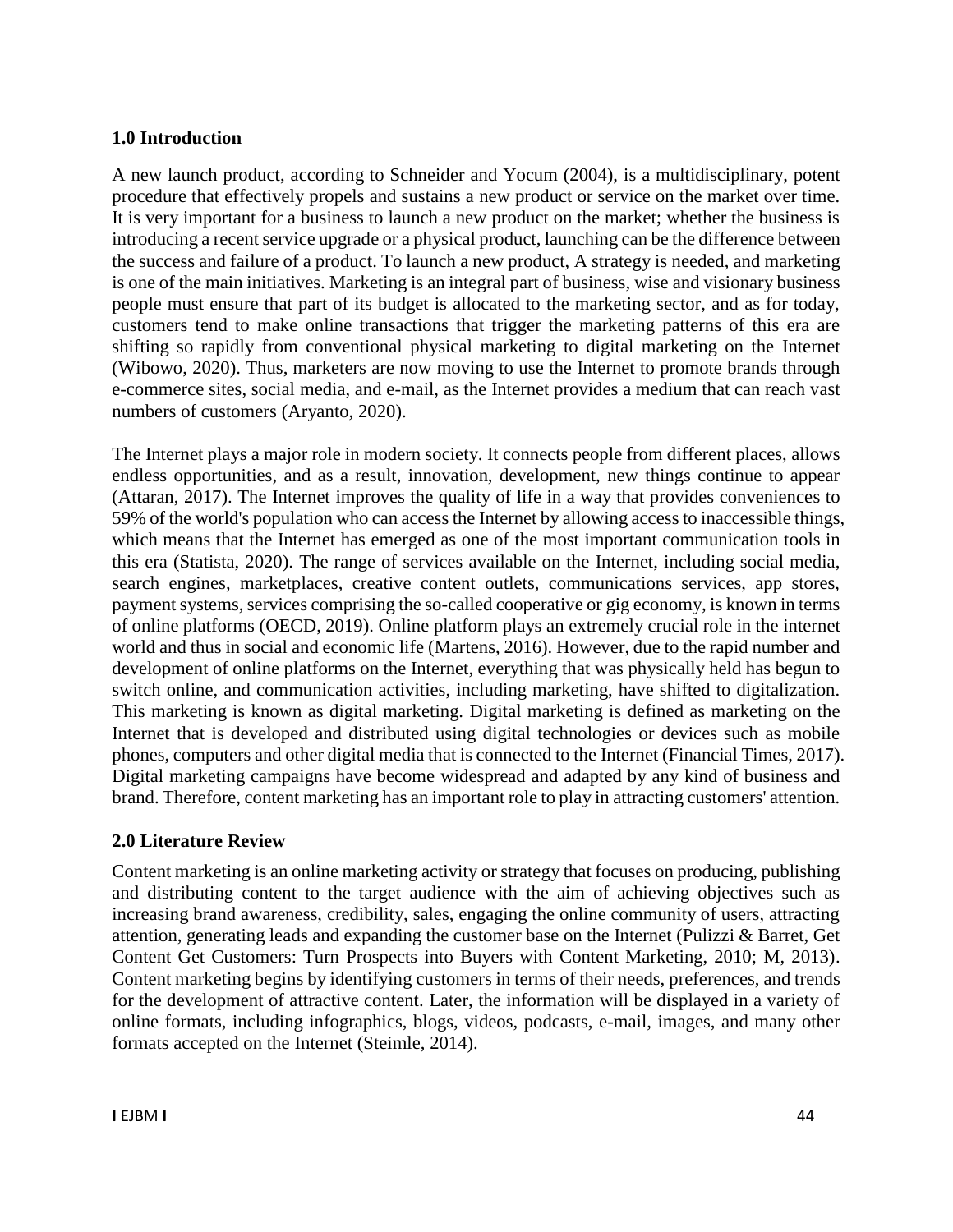### **1.0 Introduction**

A new launch product, according to Schneider and Yocum (2004), is a multidisciplinary, potent procedure that effectively propels and sustains a new product or service on the market over time. It is very important for a business to launch a new product on the market; whether the business is introducing a recent service upgrade or a physical product, launching can be the difference between the success and failure of a product. To launch a new product, A strategy is needed, and marketing is one of the main initiatives. Marketing is an integral part of business, wise and visionary business people must ensure that part of its budget is allocated to the marketing sector, and as for today, customers tend to make online transactions that trigger the marketing patterns of this era are shifting so rapidly from conventional physical marketing to digital marketing on the Internet (Wibowo, 2020). Thus, marketers are now moving to use the Internet to promote brands through e-commerce sites, social media, and e-mail, as the Internet provides a medium that can reach vast numbers of customers (Aryanto, 2020).

The Internet plays a major role in modern society. It connects people from different places, allows endless opportunities, and as a result, innovation, development, new things continue to appear (Attaran, 2017). The Internet improves the quality of life in a way that provides conveniences to 59% of the world's population who can access the Internet by allowing access to inaccessible things, which means that the Internet has emerged as one of the most important communication tools in this era (Statista, 2020). The range of services available on the Internet, including social media, search engines, marketplaces, creative content outlets, communications services, app stores, payment systems, services comprising the so-called cooperative or gig economy, is known in terms of online platforms (OECD, 2019). Online platform plays an extremely crucial role in the internet world and thus in social and economic life (Martens, 2016). However, due to the rapid number and development of online platforms on the Internet, everything that was physically held has begun to switch online, and communication activities, including marketing, have shifted to digitalization. This marketing is known as digital marketing. Digital marketing is defined as marketing on the Internet that is developed and distributed using digital technologies or devices such as mobile phones, computers and other digital media that is connected to the Internet (Financial Times, 2017). Digital marketing campaigns have become widespread and adapted by any kind of business and brand. Therefore, content marketing has an important role to play in attracting customers' attention.

#### **2.0 Literature Review**

Content marketing is an online marketing activity or strategy that focuses on producing, publishing and distributing content to the target audience with the aim of achieving objectives such as increasing brand awareness, credibility, sales, engaging the online community of users, attracting attention, generating leads and expanding the customer base on the Internet (Pulizzi & Barret, Get Content Get Customers: Turn Prospects into Buyers with Content Marketing, 2010; M, 2013). Content marketing begins by identifying customers in terms of their needs, preferences, and trends for the development of attractive content. Later, the information will be displayed in a variety of online formats, including infographics, blogs, videos, podcasts, e-mail, images, and many other formats accepted on the Internet (Steimle, 2014).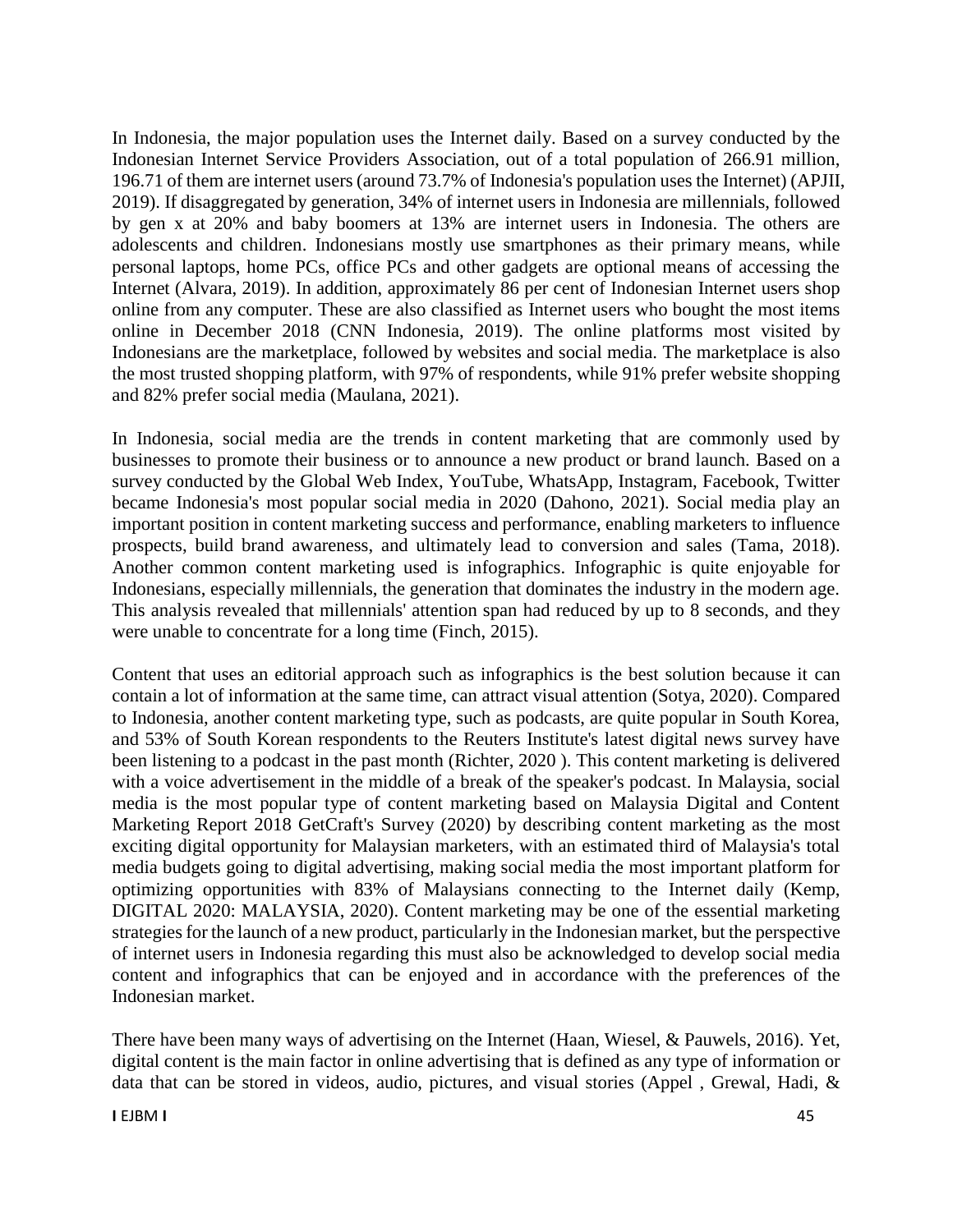In Indonesia, the major population uses the Internet daily. Based on a survey conducted by the Indonesian Internet Service Providers Association, out of a total population of 266.91 million, 196.71 of them are internet users (around 73.7% of Indonesia's population uses the Internet) (APJII, 2019). If disaggregated by generation, 34% of internet users in Indonesia are millennials, followed by gen x at 20% and baby boomers at 13% are internet users in Indonesia. The others are adolescents and children. Indonesians mostly use smartphones as their primary means, while personal laptops, home PCs, office PCs and other gadgets are optional means of accessing the Internet (Alvara, 2019). In addition, approximately 86 per cent of Indonesian Internet users shop online from any computer. These are also classified as Internet users who bought the most items online in December 2018 (CNN Indonesia, 2019). The online platforms most visited by Indonesians are the marketplace, followed by websites and social media. The marketplace is also the most trusted shopping platform, with 97% of respondents, while 91% prefer website shopping and 82% prefer social media (Maulana, 2021).

In Indonesia, social media are the trends in content marketing that are commonly used by businesses to promote their business or to announce a new product or brand launch. Based on a survey conducted by the Global Web Index, YouTube, WhatsApp, Instagram, Facebook, Twitter became Indonesia's most popular social media in 2020 (Dahono, 2021). Social media play an important position in content marketing success and performance, enabling marketers to influence prospects, build brand awareness, and ultimately lead to conversion and sales (Tama, 2018). Another common content marketing used is infographics. Infographic is quite enjoyable for Indonesians, especially millennials, the generation that dominates the industry in the modern age. This analysis revealed that millennials' attention span had reduced by up to 8 seconds, and they were unable to concentrate for a long time (Finch, 2015).

Content that uses an editorial approach such as infographics is the best solution because it can contain a lot of information at the same time, can attract visual attention (Sotya, 2020). Compared to Indonesia, another content marketing type, such as podcasts, are quite popular in South Korea, and 53% of South Korean respondents to the Reuters Institute's latest digital news survey have been listening to a podcast in the past month (Richter, 2020 ). This content marketing is delivered with a voice advertisement in the middle of a break of the speaker's podcast. In Malaysia, social media is the most popular type of content marketing based on Malaysia Digital and Content Marketing Report 2018 GetCraft's Survey (2020) by describing content marketing as the most exciting digital opportunity for Malaysian marketers, with an estimated third of Malaysia's total media budgets going to digital advertising, making social media the most important platform for optimizing opportunities with 83% of Malaysians connecting to the Internet daily (Kemp, DIGITAL 2020: MALAYSIA, 2020). Content marketing may be one of the essential marketing strategies for the launch of a new product, particularly in the Indonesian market, but the perspective of internet users in Indonesia regarding this must also be acknowledged to develop social media content and infographics that can be enjoyed and in accordance with the preferences of the Indonesian market.

There have been many ways of advertising on the Internet (Haan, Wiesel, & Pauwels, 2016). Yet, digital content is the main factor in online advertising that is defined as any type of information or data that can be stored in videos, audio, pictures, and visual stories (Appel , Grewal, Hadi, &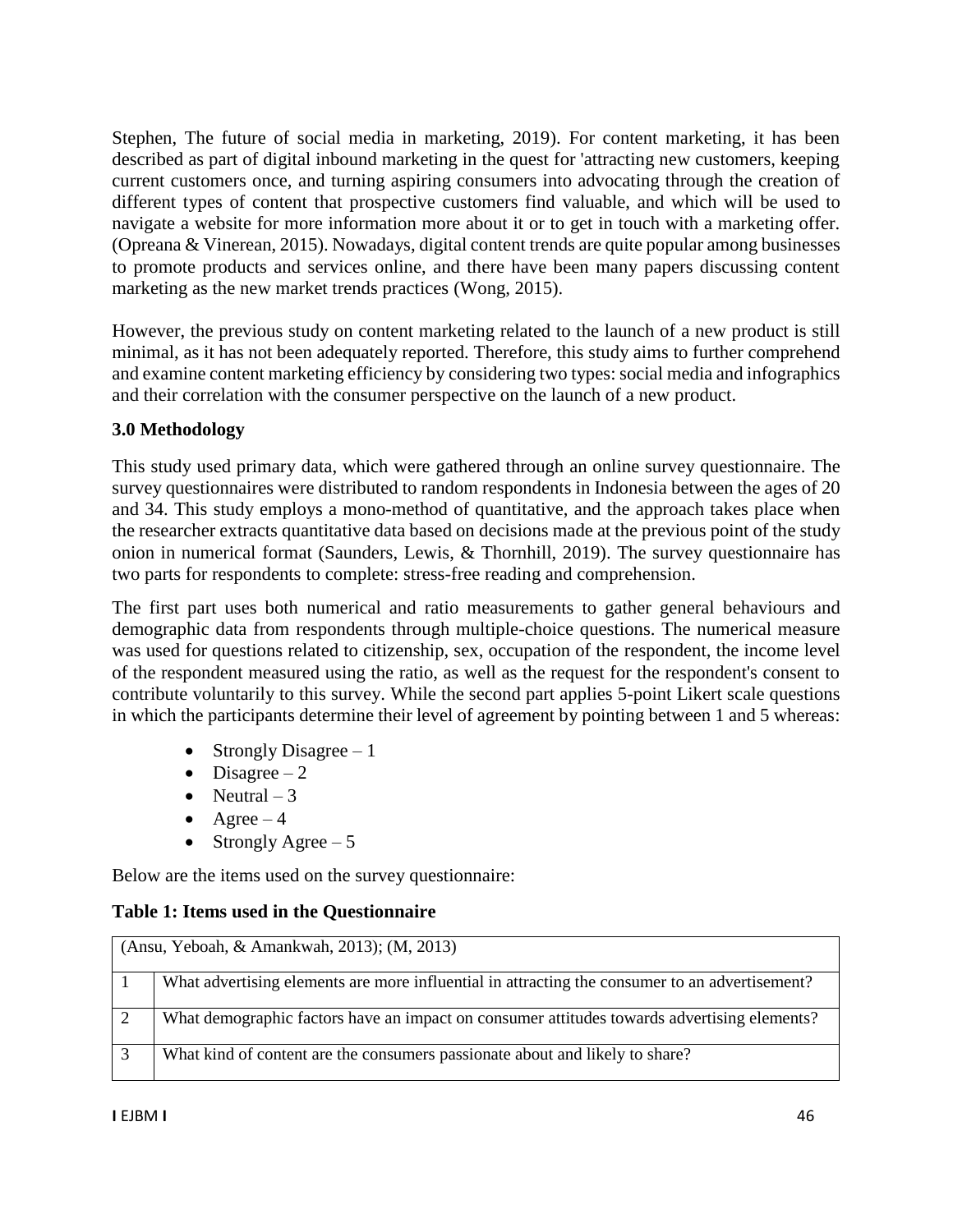Stephen, The future of social media in marketing, 2019). For content marketing, it has been described as part of digital inbound marketing in the quest for 'attracting new customers, keeping current customers once, and turning aspiring consumers into advocating through the creation of different types of content that prospective customers find valuable, and which will be used to navigate a website for more information more about it or to get in touch with a marketing offer. (Opreana & Vinerean, 2015). Nowadays, digital content trends are quite popular among businesses to promote products and services online, and there have been many papers discussing content marketing as the new market trends practices (Wong, 2015).

However, the previous study on content marketing related to the launch of a new product is still minimal, as it has not been adequately reported. Therefore, this study aims to further comprehend and examine content marketing efficiency by considering two types: social media and infographics and their correlation with the consumer perspective on the launch of a new product.

# **3.0 Methodology**

This study used primary data, which were gathered through an online survey questionnaire. The survey questionnaires were distributed to random respondents in Indonesia between the ages of 20 and 34. This study employs a mono-method of quantitative, and the approach takes place when the researcher extracts quantitative data based on decisions made at the previous point of the study onion in numerical format (Saunders, Lewis, & Thornhill, 2019). The survey questionnaire has two parts for respondents to complete: stress-free reading and comprehension.

The first part uses both numerical and ratio measurements to gather general behaviours and demographic data from respondents through multiple-choice questions. The numerical measure was used for questions related to citizenship, sex, occupation of the respondent, the income level of the respondent measured using the ratio, as well as the request for the respondent's consent to contribute voluntarily to this survey. While the second part applies 5-point Likert scale questions in which the participants determine their level of agreement by pointing between 1 and 5 whereas:

- Strongly Disagree  $-1$
- $\bullet$  Disagree 2
- Neutral  $-3$
- Agree  $-4$
- Strongly Agree  $-5$

Below are the items used on the survey questionnaire:

# **Table 1: Items used in the Questionnaire**

| (Ansu, Yeboah, & Amankwah, 2013); (M, 2013) |                                                                                                |  |  |  |
|---------------------------------------------|------------------------------------------------------------------------------------------------|--|--|--|
|                                             | What advertising elements are more influential in attracting the consumer to an advertisement? |  |  |  |
| 2                                           | What demographic factors have an impact on consumer attitudes towards advertising elements?    |  |  |  |
| 3                                           | What kind of content are the consumers passionate about and likely to share?                   |  |  |  |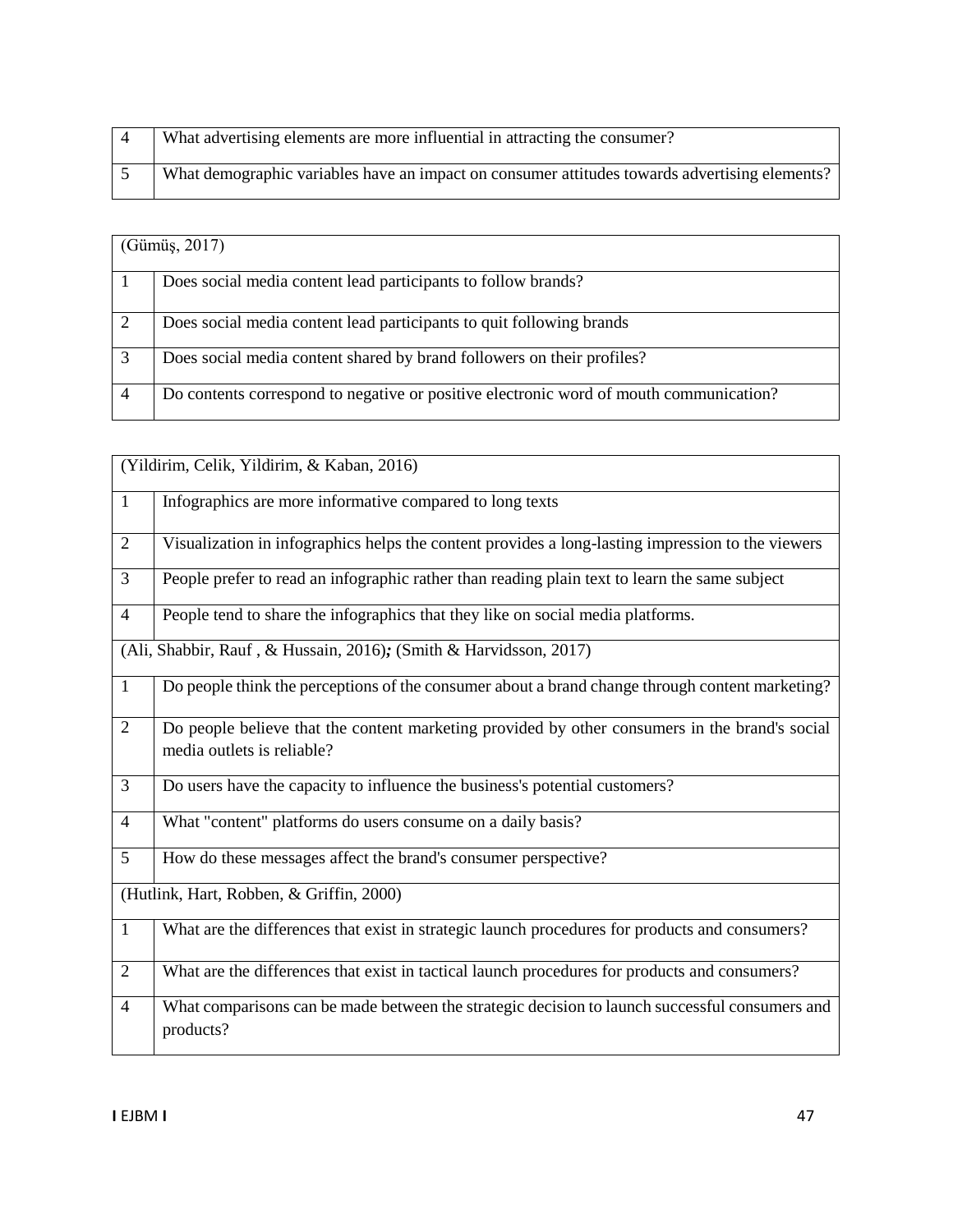| What advertising elements are more influential in attracting the consumer?                    |
|-----------------------------------------------------------------------------------------------|
| What demographic variables have an impact on consumer attitudes towards advertising elements? |

| (Gümüş, 2017) |                                                                                        |  |  |
|---------------|----------------------------------------------------------------------------------------|--|--|
|               | Does social media content lead participants to follow brands?                          |  |  |
|               | Does social media content lead participants to quit following brands                   |  |  |
|               | Does social media content shared by brand followers on their profiles?                 |  |  |
|               | Do contents correspond to negative or positive electronic word of mouth communication? |  |  |

|                                                                   | (Yildirim, Celik, Yildirim, & Kaban, 2016)                                                                                   |  |  |  |  |
|-------------------------------------------------------------------|------------------------------------------------------------------------------------------------------------------------------|--|--|--|--|
| $\mathbf{1}$                                                      | Infographics are more informative compared to long texts                                                                     |  |  |  |  |
| $\overline{2}$                                                    | Visualization in infographics helps the content provides a long-lasting impression to the viewers                            |  |  |  |  |
| 3                                                                 | People prefer to read an infographic rather than reading plain text to learn the same subject                                |  |  |  |  |
| $\overline{4}$                                                    | People tend to share the infographics that they like on social media platforms.                                              |  |  |  |  |
| (Ali, Shabbir, Rauf, & Hussain, 2016); (Smith & Harvidsson, 2017) |                                                                                                                              |  |  |  |  |
| $\mathbf{1}$                                                      | Do people think the perceptions of the consumer about a brand change through content marketing?                              |  |  |  |  |
| $\overline{2}$                                                    | Do people believe that the content marketing provided by other consumers in the brand's social<br>media outlets is reliable? |  |  |  |  |
| 3                                                                 | Do users have the capacity to influence the business's potential customers?                                                  |  |  |  |  |
| $\overline{4}$                                                    | What "content" platforms do users consume on a daily basis?                                                                  |  |  |  |  |
| 5                                                                 | How do these messages affect the brand's consumer perspective?                                                               |  |  |  |  |
| (Hutlink, Hart, Robben, & Griffin, 2000)                          |                                                                                                                              |  |  |  |  |
| $\mathbf{1}$                                                      | What are the differences that exist in strategic launch procedures for products and consumers?                               |  |  |  |  |
| $\overline{2}$                                                    | What are the differences that exist in tactical launch procedures for products and consumers?                                |  |  |  |  |
| $\overline{4}$                                                    | What comparisons can be made between the strategic decision to launch successful consumers and<br>products?                  |  |  |  |  |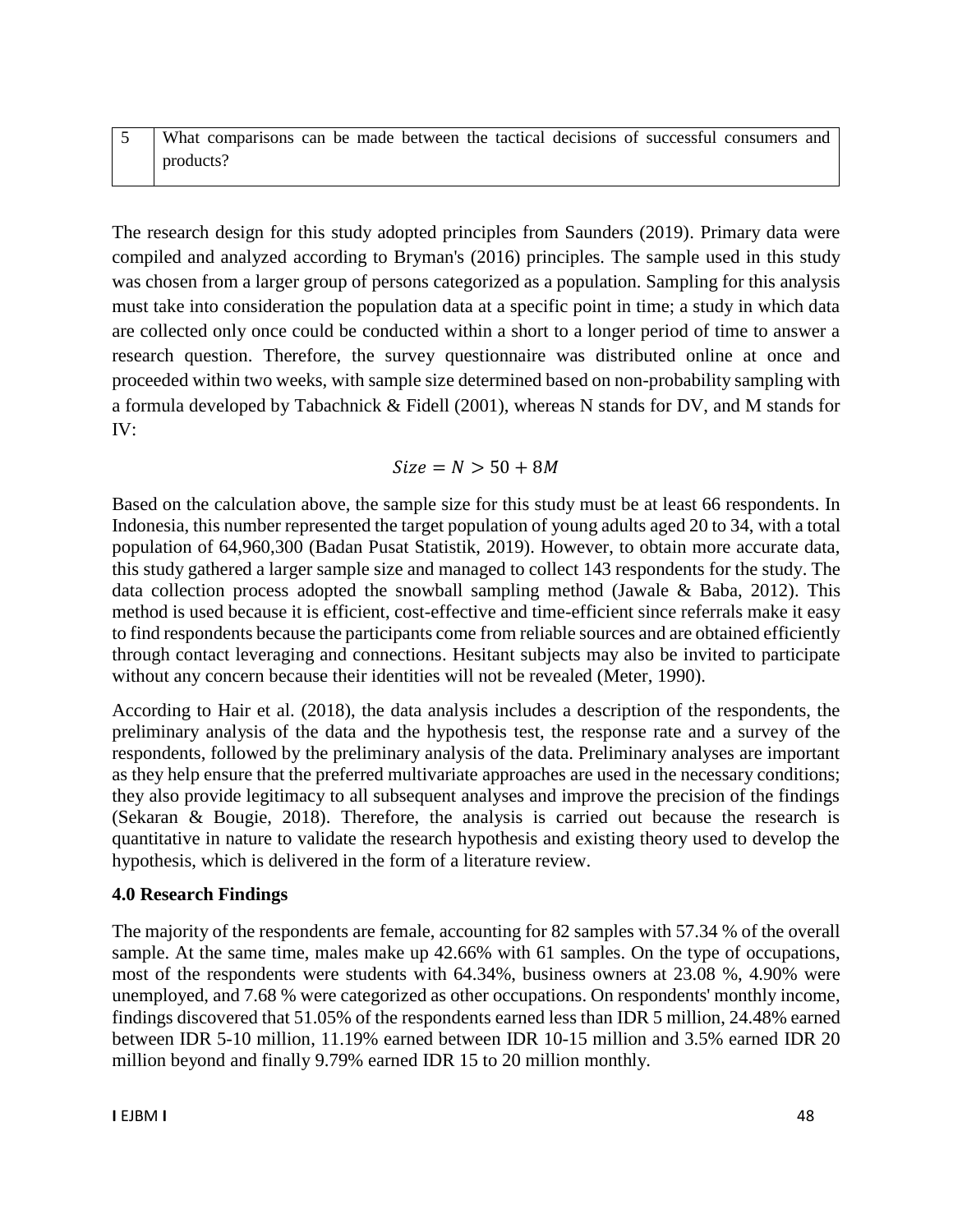5 What comparisons can be made between the tactical decisions of successful consumers and products?

The research design for this study adopted principles from Saunders (2019). Primary data were compiled and analyzed according to Bryman's (2016) principles. The sample used in this study was chosen from a larger group of persons categorized as a population. Sampling for this analysis must take into consideration the population data at a specific point in time; a study in which data are collected only once could be conducted within a short to a longer period of time to answer a research question. Therefore, the survey questionnaire was distributed online at once and proceeded within two weeks, with sample size determined based on non-probability sampling with a formula developed by Tabachnick & Fidell (2001), whereas N stands for DV, and M stands for IV:

$$
Size = N > 50 + 8M
$$

Based on the calculation above, the sample size for this study must be at least 66 respondents. In Indonesia, this number represented the target population of young adults aged 20 to 34, with a total population of 64,960,300 (Badan Pusat Statistik, 2019). However, to obtain more accurate data, this study gathered a larger sample size and managed to collect 143 respondents for the study. The data collection process adopted the snowball sampling method (Jawale & Baba, 2012). This method is used because it is efficient, cost-effective and time-efficient since referrals make it easy to find respondents because the participants come from reliable sources and are obtained efficiently through contact leveraging and connections. Hesitant subjects may also be invited to participate without any concern because their identities will not be revealed (Meter, 1990).

According to Hair et al. (2018), the data analysis includes a description of the respondents, the preliminary analysis of the data and the hypothesis test, the response rate and a survey of the respondents, followed by the preliminary analysis of the data. Preliminary analyses are important as they help ensure that the preferred multivariate approaches are used in the necessary conditions; they also provide legitimacy to all subsequent analyses and improve the precision of the findings (Sekaran & Bougie, 2018). Therefore, the analysis is carried out because the research is quantitative in nature to validate the research hypothesis and existing theory used to develop the hypothesis, which is delivered in the form of a literature review.

# **4.0 Research Findings**

The majority of the respondents are female, accounting for 82 samples with 57.34 % of the overall sample. At the same time, males make up 42.66% with 61 samples. On the type of occupations, most of the respondents were students with 64.34%, business owners at 23.08 %, 4.90% were unemployed, and 7.68 % were categorized as other occupations. On respondents' monthly income, findings discovered that 51.05% of the respondents earned less than IDR 5 million, 24.48% earned between IDR 5-10 million, 11.19% earned between IDR 10-15 million and 3.5% earned IDR 20 million beyond and finally 9.79% earned IDR 15 to 20 million monthly.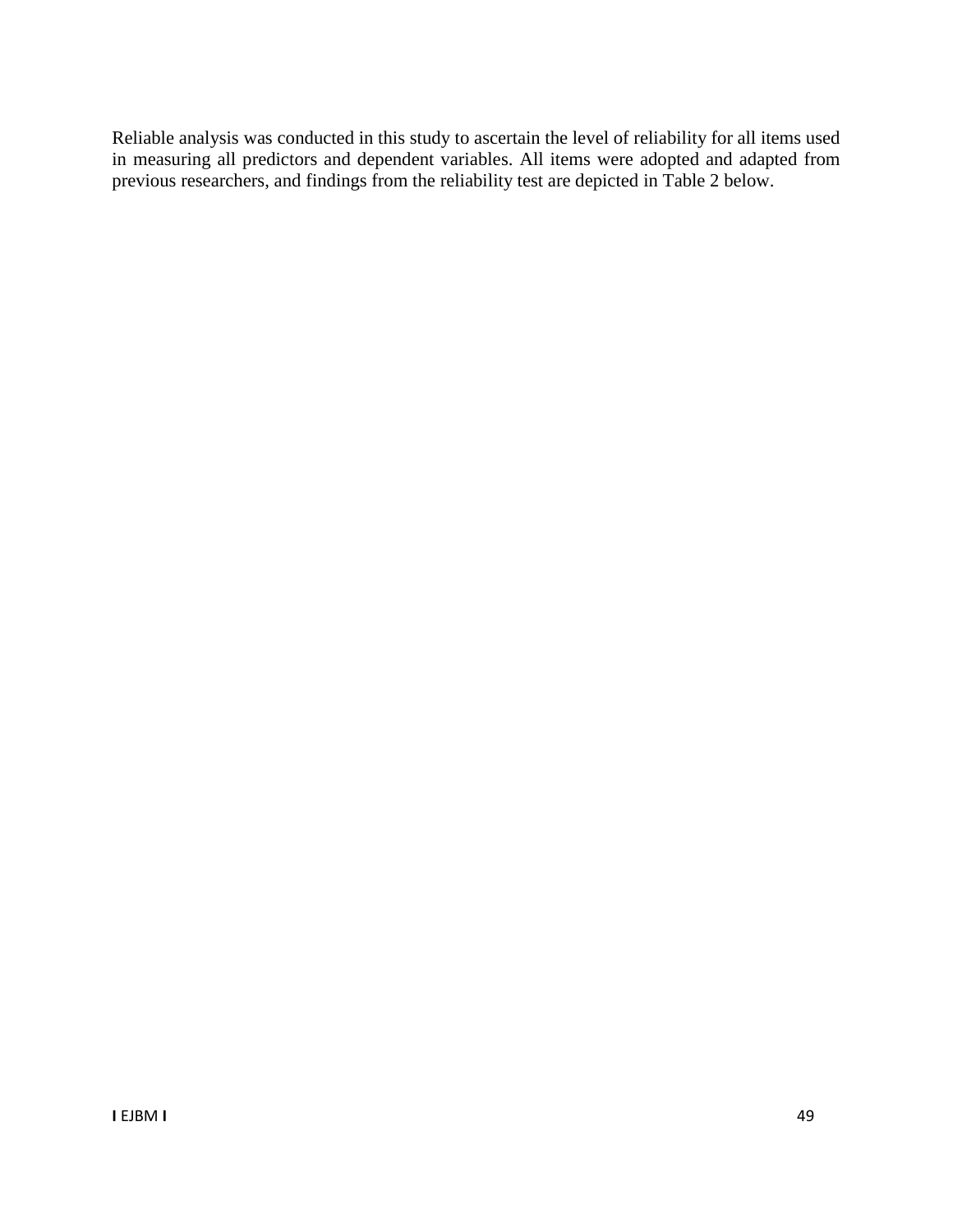Reliable analysis was conducted in this study to ascertain the level of reliability for all items used in measuring all predictors and dependent variables. All items were adopted and adapted from previous researchers, and findings from the reliability test are depicted in Table 2 below.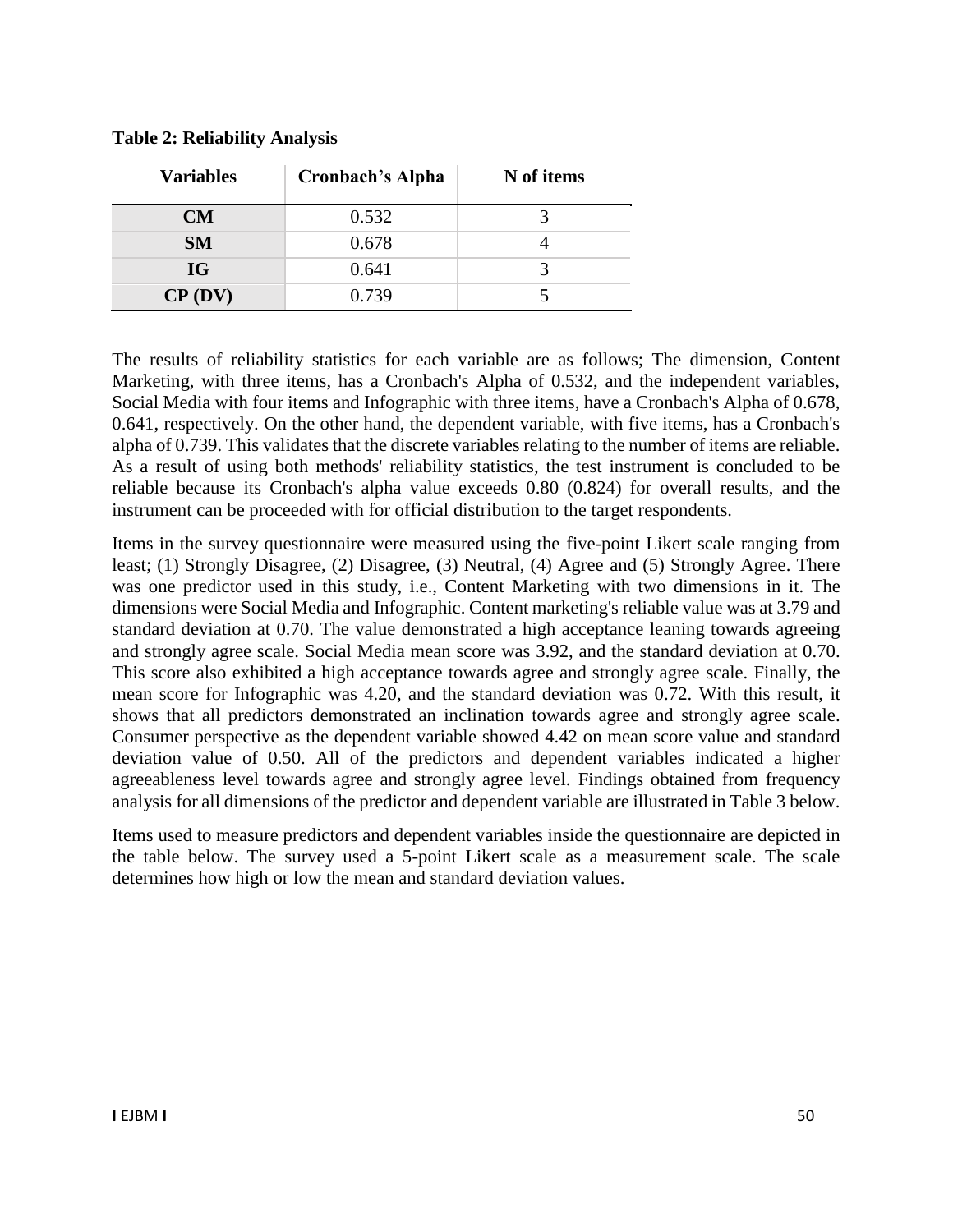| <b>Variables</b> | <b>Cronbach's Alpha</b> | N of items |
|------------------|-------------------------|------------|
| CМ               | 0.532                   |            |
| <b>SM</b>        | 0.678                   |            |
| IG               | 0.641                   |            |
| CP (DV)          | 0.739                   |            |

### **Table 2: Reliability Analysis**

The results of reliability statistics for each variable are as follows; The dimension, Content Marketing, with three items, has a Cronbach's Alpha of 0.532, and the independent variables, Social Media with four items and Infographic with three items, have a Cronbach's Alpha of 0.678, 0.641, respectively. On the other hand, the dependent variable, with five items, has a Cronbach's alpha of 0.739. This validates that the discrete variables relating to the number of items are reliable. As a result of using both methods' reliability statistics, the test instrument is concluded to be reliable because its Cronbach's alpha value exceeds 0.80 (0.824) for overall results, and the instrument can be proceeded with for official distribution to the target respondents.

Items in the survey questionnaire were measured using the five-point Likert scale ranging from least; (1) Strongly Disagree, (2) Disagree, (3) Neutral, (4) Agree and (5) Strongly Agree. There was one predictor used in this study, i.e., Content Marketing with two dimensions in it. The dimensions were Social Media and Infographic. Content marketing's reliable value was at 3.79 and standard deviation at 0.70. The value demonstrated a high acceptance leaning towards agreeing and strongly agree scale. Social Media mean score was 3.92, and the standard deviation at 0.70. This score also exhibited a high acceptance towards agree and strongly agree scale. Finally, the mean score for Infographic was 4.20, and the standard deviation was 0.72. With this result, it shows that all predictors demonstrated an inclination towards agree and strongly agree scale. Consumer perspective as the dependent variable showed 4.42 on mean score value and standard deviation value of 0.50. All of the predictors and dependent variables indicated a higher agreeableness level towards agree and strongly agree level. Findings obtained from frequency analysis for all dimensions of the predictor and dependent variable are illustrated in Table 3 below.

Items used to measure predictors and dependent variables inside the questionnaire are depicted in the table below. The survey used a 5-point Likert scale as a measurement scale. The scale determines how high or low the mean and standard deviation values.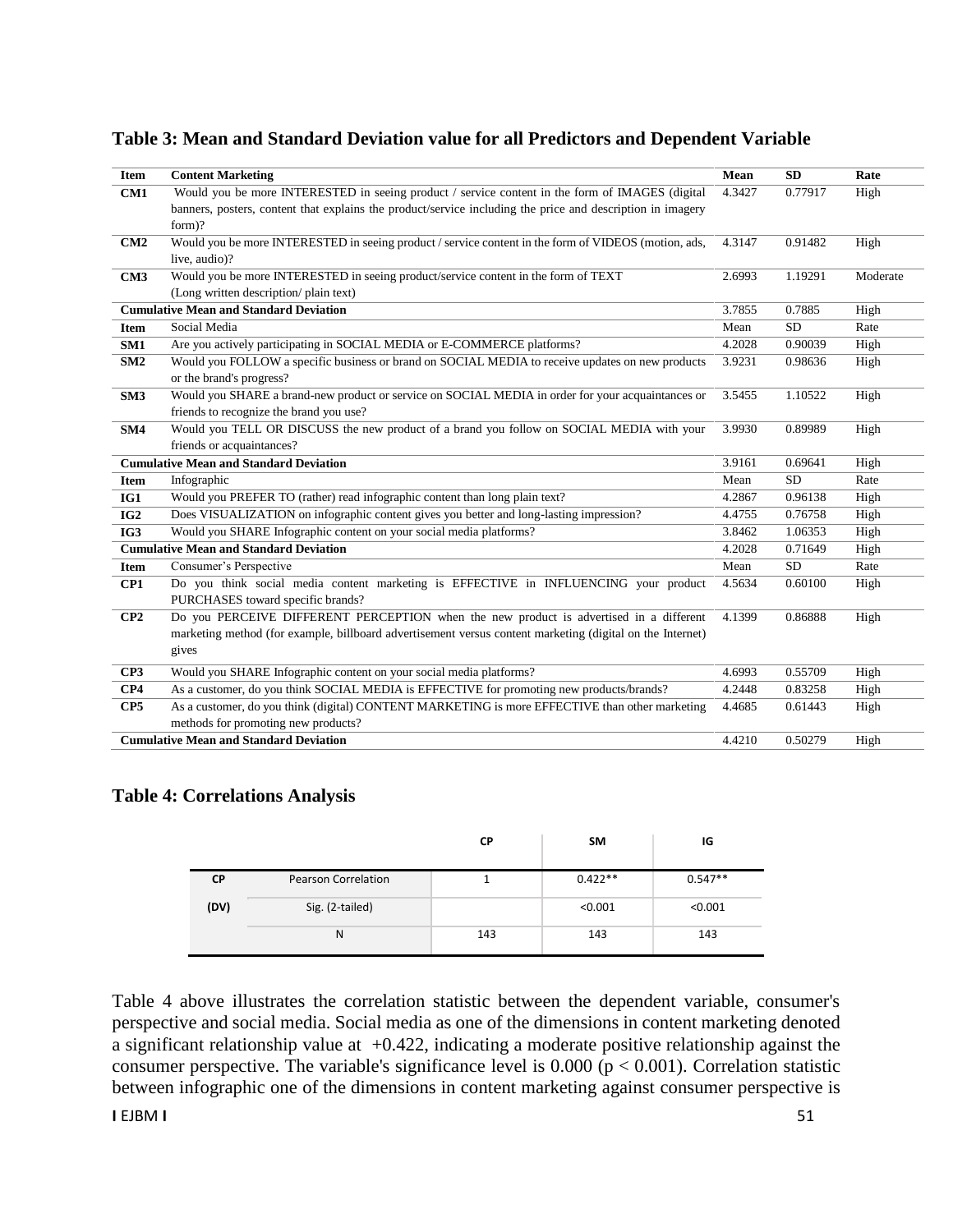**Table 3: Mean and Standard Deviation value for all Predictors and Dependent Variable**

| Item            | <b>Content Marketing</b>                                                                                   | Mean   | <b>SD</b> | Rate     |
|-----------------|------------------------------------------------------------------------------------------------------------|--------|-----------|----------|
| CM1             | Would you be more INTERESTED in seeing product / service content in the form of IMAGES (digital            | 4.3427 | 0.77917   | High     |
|                 | banners, posters, content that explains the product/service including the price and description in imagery |        |           |          |
|                 | form)?                                                                                                     |        |           |          |
| CM2             | Would you be more INTERESTED in seeing product / service content in the form of VIDEOS (motion, ads,       | 4.3147 | 0.91482   | High     |
|                 | live, audio)?                                                                                              |        |           |          |
| CM3             | Would you be more INTERESTED in seeing product/service content in the form of TEXT                         | 2.6993 | 1.19291   | Moderate |
|                 | (Long written description/plain text)                                                                      |        |           |          |
|                 | <b>Cumulative Mean and Standard Deviation</b>                                                              | 3.7855 | 0.7885    | High     |
| <b>Item</b>     | Social Media                                                                                               | Mean   | <b>SD</b> | Rate     |
| SM1             | Are you actively participating in SOCIAL MEDIA or E-COMMERCE platforms?                                    | 4.2028 | 0.90039   | High     |
| SM2             | Would you FOLLOW a specific business or brand on SOCIAL MEDIA to receive updates on new products           | 3.9231 | 0.98636   | High     |
|                 | or the brand's progress?                                                                                   |        |           |          |
| SM <sub>3</sub> | Would you SHARE a brand-new product or service on SOCIAL MEDIA in order for your acquaintances or          | 3.5455 | 1.10522   | High     |
|                 | friends to recognize the brand you use?                                                                    |        |           |          |
| SM4             | Would you TELL OR DISCUSS the new product of a brand you follow on SOCIAL MEDIA with your                  | 3.9930 | 0.89989   | High     |
|                 | friends or acquaintances?                                                                                  |        |           |          |
|                 | <b>Cumulative Mean and Standard Deviation</b>                                                              | 3.9161 | 0.69641   | High     |
| <b>Item</b>     | Infographic                                                                                                | Mean   | <b>SD</b> | Rate     |
| IG1             | Would you PREFER TO (rather) read infographic content than long plain text?                                | 4.2867 | 0.96138   | High     |
| IG2             | Does VISUALIZATION on infographic content gives you better and long-lasting impression?                    | 4.4755 | 0.76758   | High     |
| IG3             | Would you SHARE Infographic content on your social media platforms?                                        | 3.8462 | 1.06353   | High     |
|                 | <b>Cumulative Mean and Standard Deviation</b>                                                              | 4.2028 | 0.71649   | High     |
| <b>Item</b>     | Consumer's Perspective                                                                                     | Mean   | <b>SD</b> | Rate     |
| CP1             | Do you think social media content marketing is EFFECTIVE in INFLUENCING your product                       | 4.5634 | 0.60100   | High     |
|                 | PURCHASES toward specific brands?                                                                          |        |           |          |
| CP2             | Do you PERCEIVE DIFFERENT PERCEPTION when the new product is advertised in a different                     | 4.1399 | 0.86888   | High     |
|                 | marketing method (for example, billboard advertisement versus content marketing (digital on the Internet)  |        |           |          |
|                 | gives                                                                                                      |        |           |          |
| CP3             | Would you SHARE Infographic content on your social media platforms?                                        | 4.6993 | 0.55709   | High     |
| CP4             | As a customer, do you think SOCIAL MEDIA is EFFECTIVE for promoting new products/brands?                   | 4.2448 | 0.83258   | High     |
| CP <sub>5</sub> | As a customer, do you think (digital) CONTENT MARKETING is more EFFECTIVE than other marketing             | 4.4685 | 0.61443   | High     |
|                 | methods for promoting new products?                                                                        |        |           |          |
|                 | <b>Cumulative Mean and Standard Deviation</b>                                                              | 4.4210 | 0.50279   | High     |
|                 |                                                                                                            |        |           |          |

# **Table 4: Correlations Analysis**

|           |                            | <b>CP</b> | <b>SM</b> | IG        |
|-----------|----------------------------|-----------|-----------|-----------|
| <b>CP</b> | <b>Pearson Correlation</b> |           | $0.422**$ | $0.547**$ |
| (DV)      | Sig. (2-tailed)            |           | < 0.001   | < 0.001   |
|           | N                          | 143       | 143       | 143       |

Table 4 above illustrates the correlation statistic between the dependent variable, consumer's perspective and social media. Social media as one of the dimensions in content marketing denoted a significant relationship value at  $+0.422$ , indicating a moderate positive relationship against the consumer perspective. The variable's significance level is  $0.000$  ( $p < 0.001$ ). Correlation statistic between infographic one of the dimensions in content marketing against consumer perspective is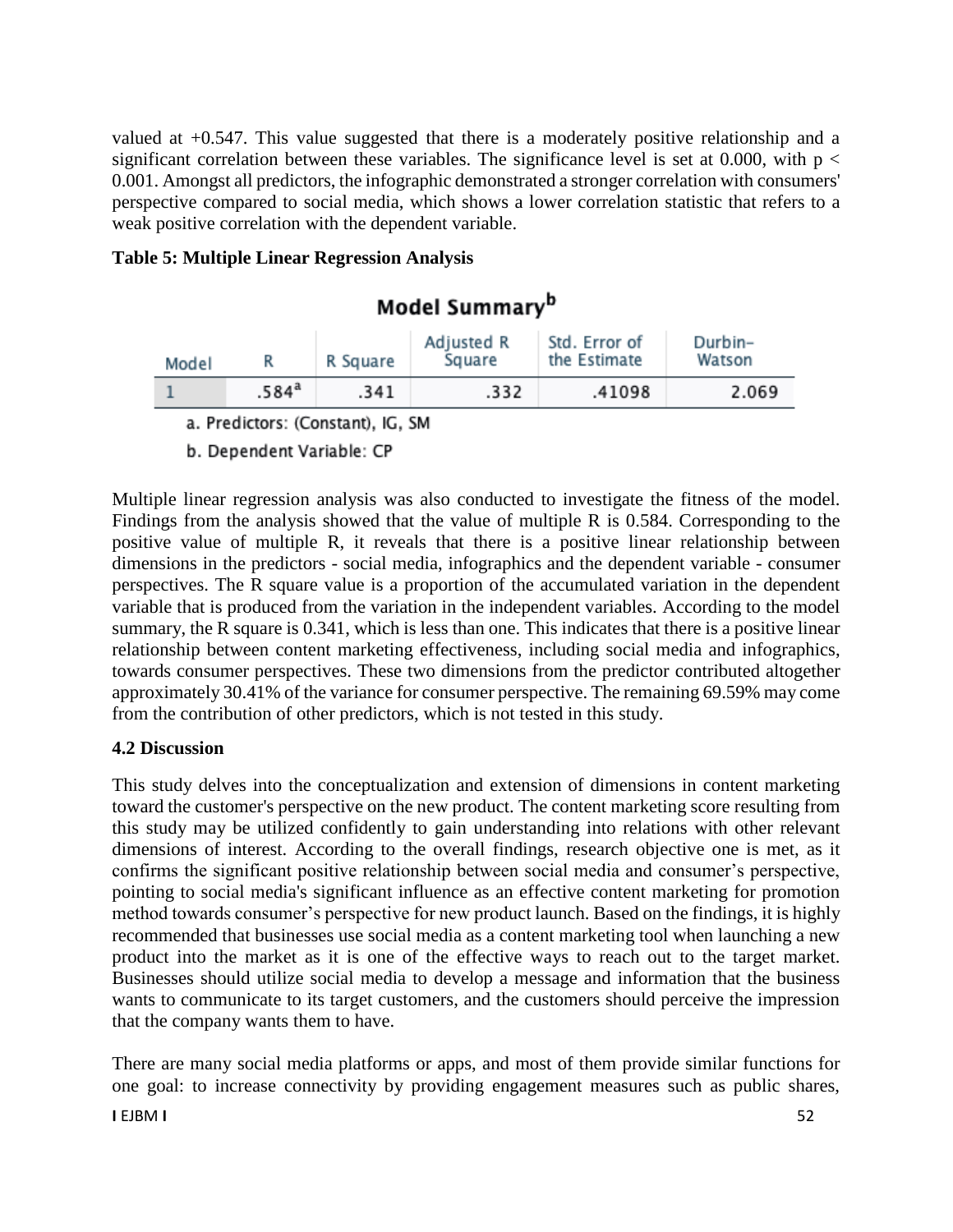valued at +0.547. This value suggested that there is a moderately positive relationship and a significant correlation between these variables. The significance level is set at 0.000, with  $p <$ 0.001. Amongst all predictors, the infographic demonstrated a stronger correlation with consumers' perspective compared to social media, which shows a lower correlation statistic that refers to a weak positive correlation with the dependent variable.

### **Table 5: Multiple Linear Regression Analysis**

| Model Summary <sup>b</sup> |                   |          |                      |                               |                   |
|----------------------------|-------------------|----------|----------------------|-------------------------------|-------------------|
| Model                      |                   | R Square | Adjusted R<br>Square | Std. Error of<br>the Estimate | Durbin-<br>Watson |
|                            | .584 <sup>a</sup> | .341     | .332                 | .41098                        | 2.069             |

a. Predictors: (Constant), IG, SM

b. Dependent Variable: CP

Multiple linear regression analysis was also conducted to investigate the fitness of the model. Findings from the analysis showed that the value of multiple R is 0.584. Corresponding to the positive value of multiple R, it reveals that there is a positive linear relationship between dimensions in the predictors - social media, infographics and the dependent variable - consumer perspectives. The R square value is a proportion of the accumulated variation in the dependent variable that is produced from the variation in the independent variables. According to the model summary, the R square is 0.341, which is less than one. This indicates that there is a positive linear relationship between content marketing effectiveness, including social media and infographics, towards consumer perspectives. These two dimensions from the predictor contributed altogether approximately 30.41% of the variance for consumer perspective. The remaining 69.59% may come from the contribution of other predictors, which is not tested in this study.

# **4.2 Discussion**

This study delves into the conceptualization and extension of dimensions in content marketing toward the customer's perspective on the new product. The content marketing score resulting from this study may be utilized confidently to gain understanding into relations with other relevant dimensions of interest. According to the overall findings, research objective one is met, as it confirms the significant positive relationship between social media and consumer's perspective, pointing to social media's significant influence as an effective content marketing for promotion method towards consumer's perspective for new product launch. Based on the findings, it is highly recommended that businesses use social media as a content marketing tool when launching a new product into the market as it is one of the effective ways to reach out to the target market. Businesses should utilize social media to develop a message and information that the business wants to communicate to its target customers, and the customers should perceive the impression that the company wants them to have.

There are many social media platforms or apps, and most of them provide similar functions for one goal: to increase connectivity by providing engagement measures such as public shares,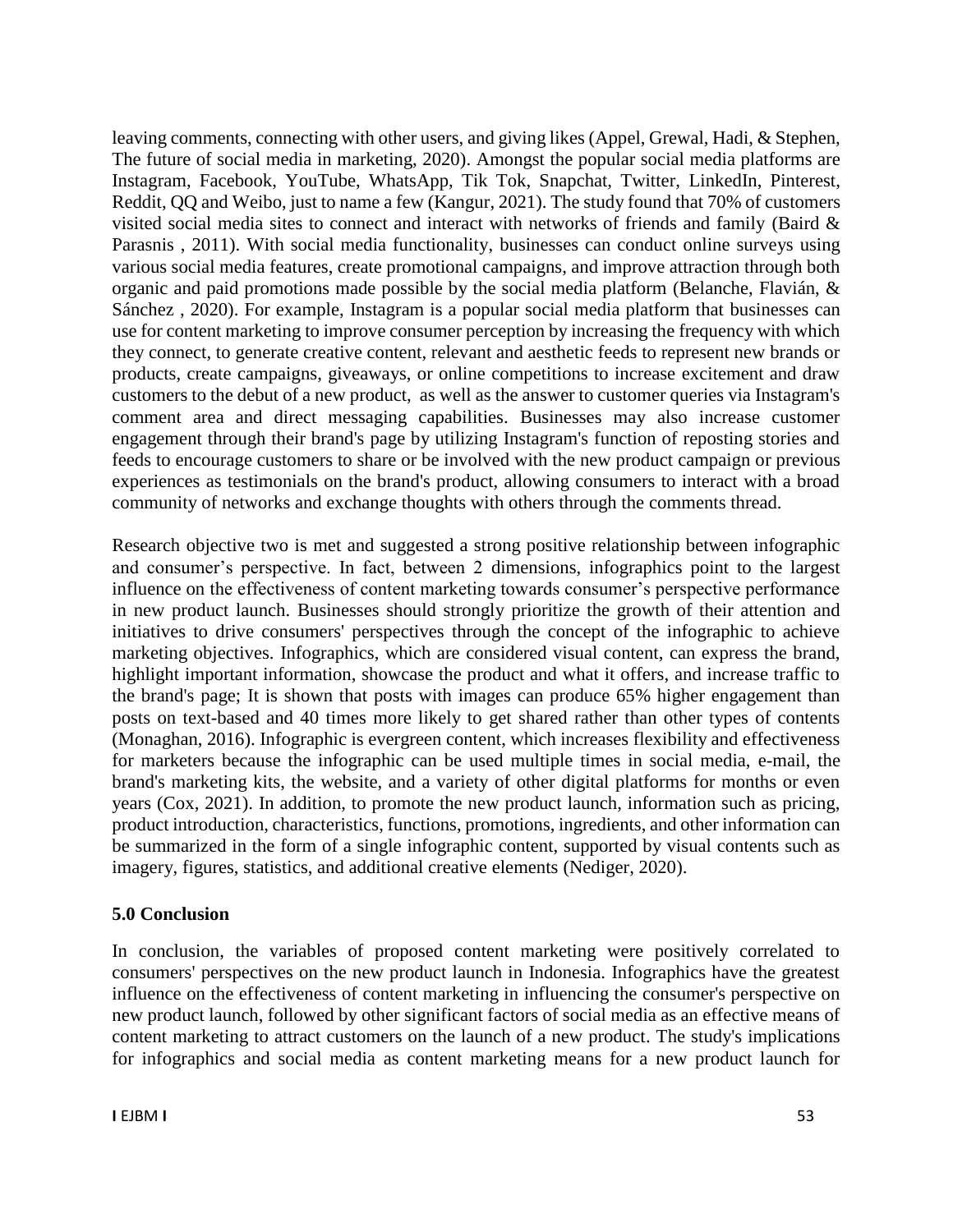leaving comments, connecting with other users, and giving likes (Appel, Grewal, Hadi, & Stephen, The future of social media in marketing, 2020). Amongst the popular social media platforms are Instagram, Facebook, YouTube, WhatsApp, Tik Tok, Snapchat, Twitter, LinkedIn, Pinterest, Reddit, QQ and Weibo, just to name a few (Kangur, 2021). The study found that 70% of customers visited social media sites to connect and interact with networks of friends and family (Baird & Parasnis , 2011). With social media functionality, businesses can conduct online surveys using various social media features, create promotional campaigns, and improve attraction through both organic and paid promotions made possible by the social media platform (Belanche, Flavián, & Sánchez , 2020). For example, Instagram is a popular social media platform that businesses can use for content marketing to improve consumer perception by increasing the frequency with which they connect, to generate creative content, relevant and aesthetic feeds to represent new brands or products, create campaigns, giveaways, or online competitions to increase excitement and draw customers to the debut of a new product, as well as the answer to customer queries via Instagram's comment area and direct messaging capabilities. Businesses may also increase customer engagement through their brand's page by utilizing Instagram's function of reposting stories and feeds to encourage customers to share or be involved with the new product campaign or previous experiences as testimonials on the brand's product, allowing consumers to interact with a broad community of networks and exchange thoughts with others through the comments thread.

Research objective two is met and suggested a strong positive relationship between infographic and consumer's perspective. In fact, between 2 dimensions, infographics point to the largest influence on the effectiveness of content marketing towards consumer's perspective performance in new product launch. Businesses should strongly prioritize the growth of their attention and initiatives to drive consumers' perspectives through the concept of the infographic to achieve marketing objectives. Infographics, which are considered visual content, can express the brand, highlight important information, showcase the product and what it offers, and increase traffic to the brand's page; It is shown that posts with images can produce 65% higher engagement than posts on text-based and 40 times more likely to get shared rather than other types of contents (Monaghan, 2016). Infographic is evergreen content, which increases flexibility and effectiveness for marketers because the infographic can be used multiple times in social media, e-mail, the brand's marketing kits, the website, and a variety of other digital platforms for months or even years (Cox, 2021). In addition, to promote the new product launch, information such as pricing, product introduction, characteristics, functions, promotions, ingredients, and other information can be summarized in the form of a single infographic content, supported by visual contents such as imagery, figures, statistics, and additional creative elements (Nediger, 2020).

# **5.0 Conclusion**

In conclusion, the variables of proposed content marketing were positively correlated to consumers' perspectives on the new product launch in Indonesia. Infographics have the greatest influence on the effectiveness of content marketing in influencing the consumer's perspective on new product launch, followed by other significant factors of social media as an effective means of content marketing to attract customers on the launch of a new product. The study's implications for infographics and social media as content marketing means for a new product launch for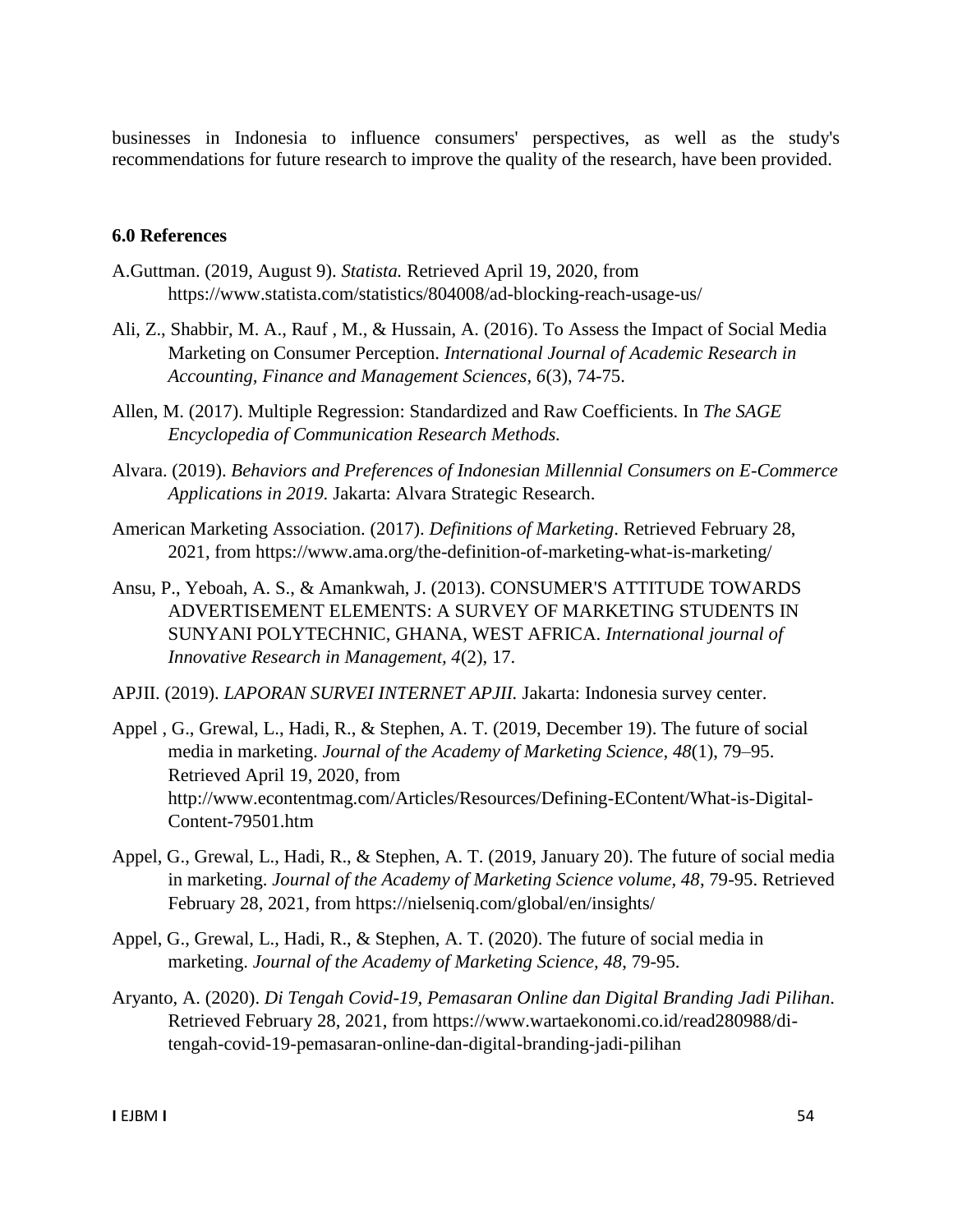businesses in Indonesia to influence consumers' perspectives, as well as the study's recommendations for future research to improve the quality of the research, have been provided.

#### **6.0 References**

- A.Guttman. (2019, August 9). *Statista.* Retrieved April 19, 2020, from https://www.statista.com/statistics/804008/ad-blocking-reach-usage-us/
- Ali, Z., Shabbir, M. A., Rauf , M., & Hussain, A. (2016). To Assess the Impact of Social Media Marketing on Consumer Perception. *International Journal of Academic Research in Accounting, Finance and Management Sciences, 6*(3), 74-75.
- Allen, M. (2017). Multiple Regression: Standardized and Raw Coefficients. In *The SAGE Encyclopedia of Communication Research Methods.*
- Alvara. (2019). *Behaviors and Preferences of Indonesian Millennial Consumers on E-Commerce Applications in 2019.* Jakarta: Alvara Strategic Research.
- American Marketing Association. (2017). *Definitions of Marketing*. Retrieved February 28, 2021, from https://www.ama.org/the-definition-of-marketing-what-is-marketing/
- Ansu, P., Yeboah, A. S., & Amankwah, J. (2013). CONSUMER'S ATTITUDE TOWARDS ADVERTISEMENT ELEMENTS: A SURVEY OF MARKETING STUDENTS IN SUNYANI POLYTECHNIC, GHANA, WEST AFRICA. *International journal of Innovative Research in Management, 4*(2), 17.
- APJII. (2019). *LAPORAN SURVEI INTERNET APJII.* Jakarta: Indonesia survey center.
- Appel , G., Grewal, L., Hadi, R., & Stephen, A. T. (2019, December 19). The future of social media in marketing. *Journal of the Academy of Marketing Science, 48*(1), 79–95. Retrieved April 19, 2020, from http://www.econtentmag.com/Articles/Resources/Defining-EContent/What-is-Digital-Content-79501.htm
- Appel, G., Grewal, L., Hadi, R., & Stephen, A. T. (2019, January 20). The future of social media in marketing. *Journal of the Academy of Marketing Science volume, 48*, 79-95. Retrieved February 28, 2021, from https://nielseniq.com/global/en/insights/
- Appel, G., Grewal, L., Hadi, R., & Stephen, A. T. (2020). The future of social media in marketing. *Journal of the Academy of Marketing Science, 48*, 79-95.
- Aryanto, A. (2020). *Di Tengah Covid-19, Pemasaran Online dan Digital Branding Jadi Pilihan*. Retrieved February 28, 2021, from https://www.wartaekonomi.co.id/read280988/ditengah-covid-19-pemasaran-online-dan-digital-branding-jadi-pilihan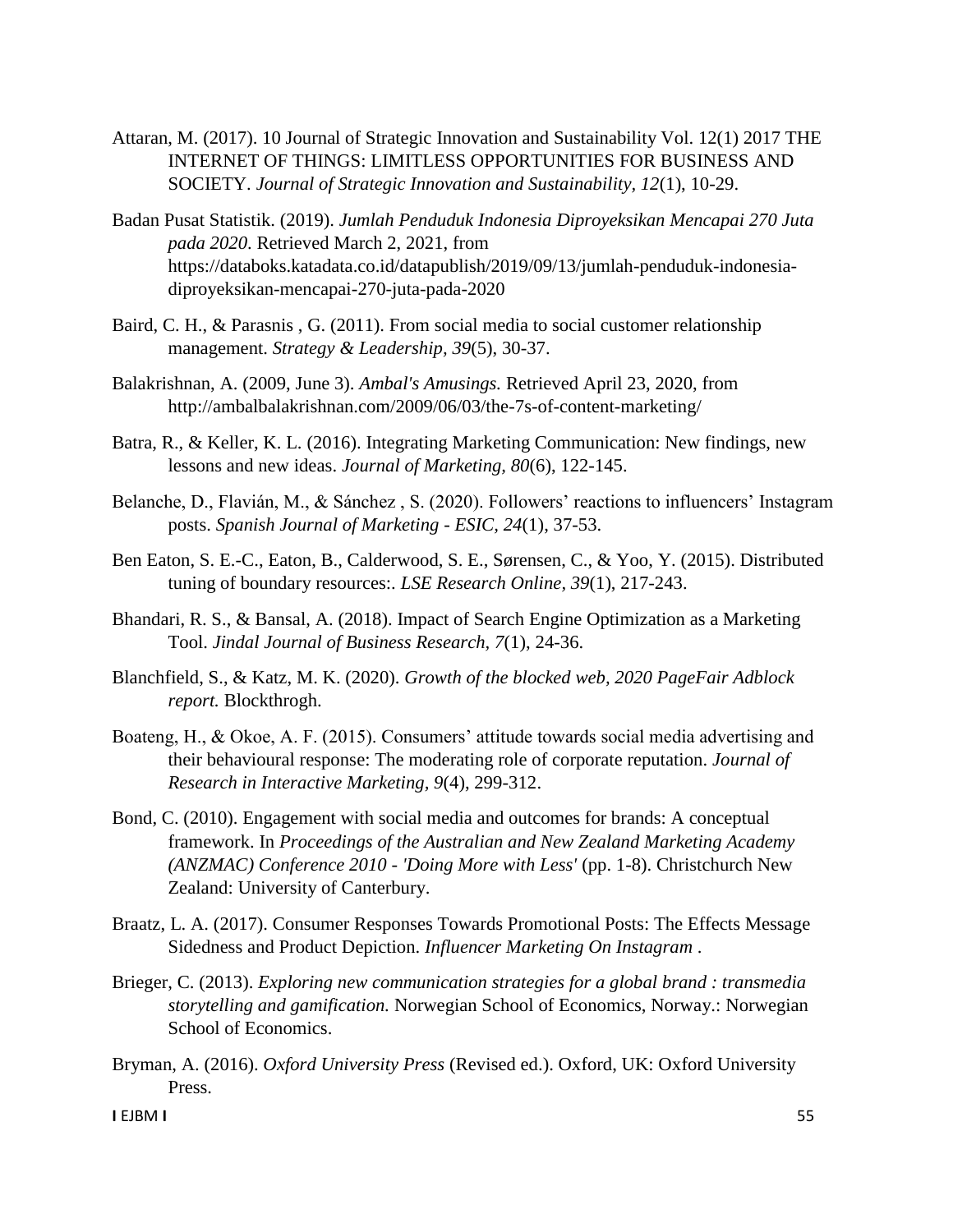- Attaran, M. (2017). 10 Journal of Strategic Innovation and Sustainability Vol. 12(1) 2017 THE INTERNET OF THINGS: LIMITLESS OPPORTUNITIES FOR BUSINESS AND SOCIETY. *Journal of Strategic Innovation and Sustainability, 12*(1), 10-29.
- Badan Pusat Statistik. (2019). *Jumlah Penduduk Indonesia Diproyeksikan Mencapai 270 Juta pada 2020*. Retrieved March 2, 2021, from https://databoks.katadata.co.id/datapublish/2019/09/13/jumlah-penduduk-indonesiadiproyeksikan-mencapai-270-juta-pada-2020
- Baird, C. H., & Parasnis , G. (2011). From social media to social customer relationship management. *Strategy & Leadership, 39*(5), 30-37.
- Balakrishnan, A. (2009, June 3). *Ambal's Amusings.* Retrieved April 23, 2020, from http://ambalbalakrishnan.com/2009/06/03/the-7s-of-content-marketing/
- Batra, R., & Keller, K. L. (2016). Integrating Marketing Communication: New findings, new lessons and new ideas. *Journal of Marketing, 80*(6), 122-145.
- Belanche, D., Flavián, M., & Sánchez , S. (2020). Followers' reactions to influencers' Instagram posts. *Spanish Journal of Marketing - ESIC, 24*(1), 37-53.
- Ben Eaton, S. E.-C., Eaton, B., Calderwood, S. E., Sørensen, C., & Yoo, Y. (2015). Distributed tuning of boundary resources:. *LSE Research Online, 39*(1), 217-243.
- Bhandari, R. S., & Bansal, A. (2018). Impact of Search Engine Optimization as a Marketing Tool. *Jindal Journal of Business Research, 7*(1), 24-36.
- Blanchfield, S., & Katz, M. K. (2020). *Growth of the blocked web, 2020 PageFair Adblock report.* Blockthrogh.
- Boateng, H., & Okoe, A. F. (2015). Consumers' attitude towards social media advertising and their behavioural response: The moderating role of corporate reputation. *Journal of Research in Interactive Marketing, 9*(4), 299-312.
- Bond, C. (2010). Engagement with social media and outcomes for brands: A conceptual framework. In *Proceedings of the Australian and New Zealand Marketing Academy (ANZMAC) Conference 2010 - 'Doing More with Less'* (pp. 1-8). Christchurch New Zealand: University of Canterbury.
- Braatz, L. A. (2017). Consumer Responses Towards Promotional Posts: The Effects Message Sidedness and Product Depiction. *Influencer Marketing On Instagram* .
- Brieger, C. (2013). *Exploring new communication strategies for a global brand : transmedia storytelling and gamification.* Norwegian School of Economics, Norway.: Norwegian School of Economics.
- Bryman, A. (2016). *Oxford University Press* (Revised ed.). Oxford, UK: Oxford University Press.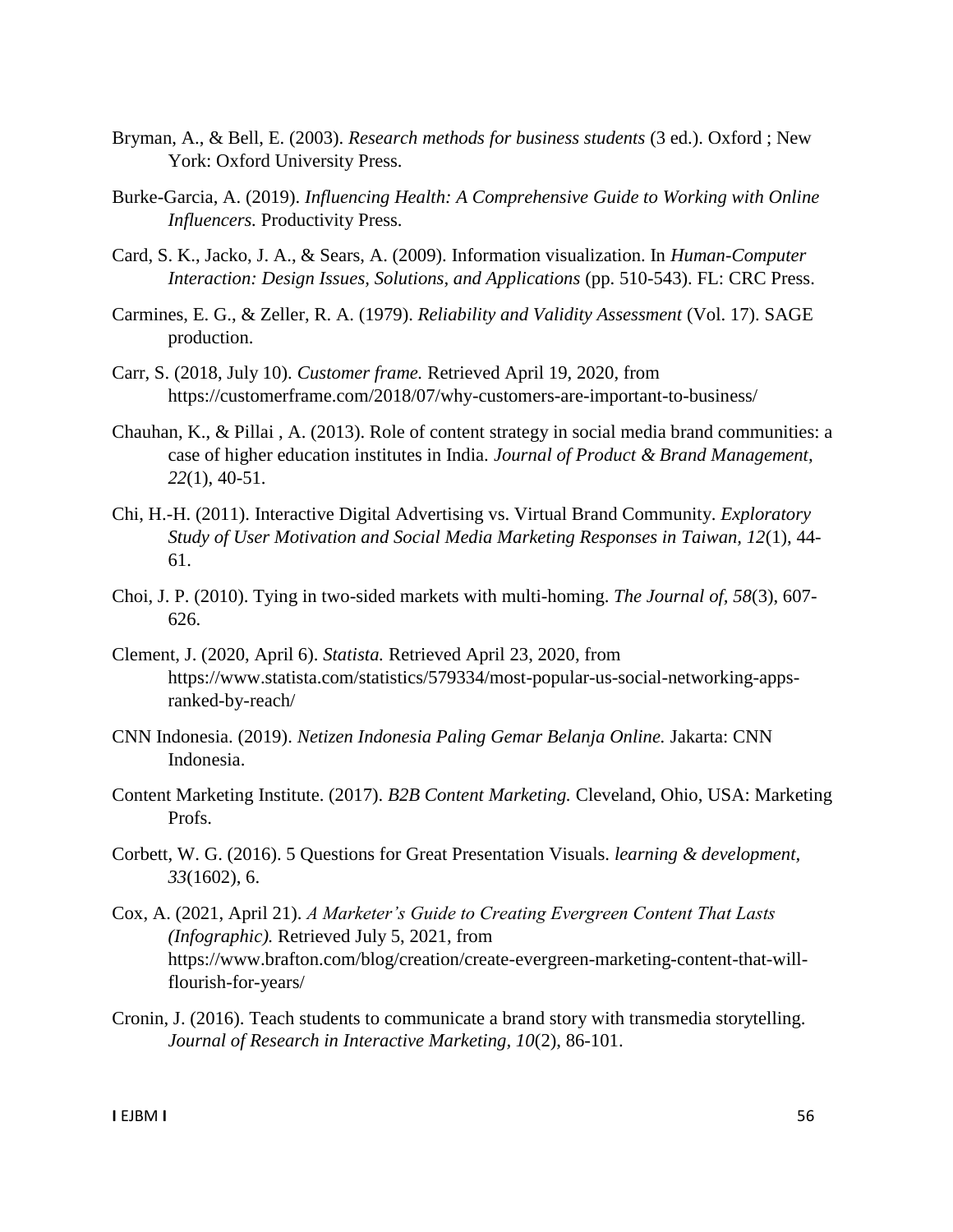- Bryman, A., & Bell, E. (2003). *Research methods for business students* (3 ed.). Oxford ; New York: Oxford University Press.
- Burke-Garcia, A. (2019). *Influencing Health: A Comprehensive Guide to Working with Online Influencers.* Productivity Press.
- Card, S. K., Jacko, J. A., & Sears, A. (2009). Information visualization. In *Human-Computer Interaction: Design Issues, Solutions, and Applications* (pp. 510-543). FL: CRC Press.
- Carmines, E. G., & Zeller, R. A. (1979). *Reliability and Validity Assessment* (Vol. 17). SAGE production.
- Carr, S. (2018, July 10). *Customer frame.* Retrieved April 19, 2020, from https://customerframe.com/2018/07/why-customers-are-important-to-business/
- Chauhan, K., & Pillai , A. (2013). Role of content strategy in social media brand communities: a case of higher education institutes in India. *Journal of Product & Brand Management, 22*(1), 40-51.
- Chi, H.-H. (2011). Interactive Digital Advertising vs. Virtual Brand Community. *Exploratory Study of User Motivation and Social Media Marketing Responses in Taiwan, 12*(1), 44- 61.
- Choi, J. P. (2010). Tying in two-sided markets with multi-homing. *The Journal of, 58*(3), 607- 626.
- Clement, J. (2020, April 6). *Statista.* Retrieved April 23, 2020, from https://www.statista.com/statistics/579334/most-popular-us-social-networking-appsranked-by-reach/
- CNN Indonesia. (2019). *Netizen Indonesia Paling Gemar Belanja Online.* Jakarta: CNN Indonesia.
- Content Marketing Institute. (2017). *B2B Content Marketing.* Cleveland, Ohio, USA: Marketing Profs.
- Corbett, W. G. (2016). 5 Questions for Great Presentation Visuals. *learning & development, 33*(1602), 6.
- Cox, A. (2021, April 21). *A Marketer's Guide to Creating Evergreen Content That Lasts (Infographic).* Retrieved July 5, 2021, from https://www.brafton.com/blog/creation/create-evergreen-marketing-content-that-willflourish-for-years/
- Cronin, J. (2016). Teach students to communicate a brand story with transmedia storytelling. *Journal of Research in Interactive Marketing, 10*(2), 86-101.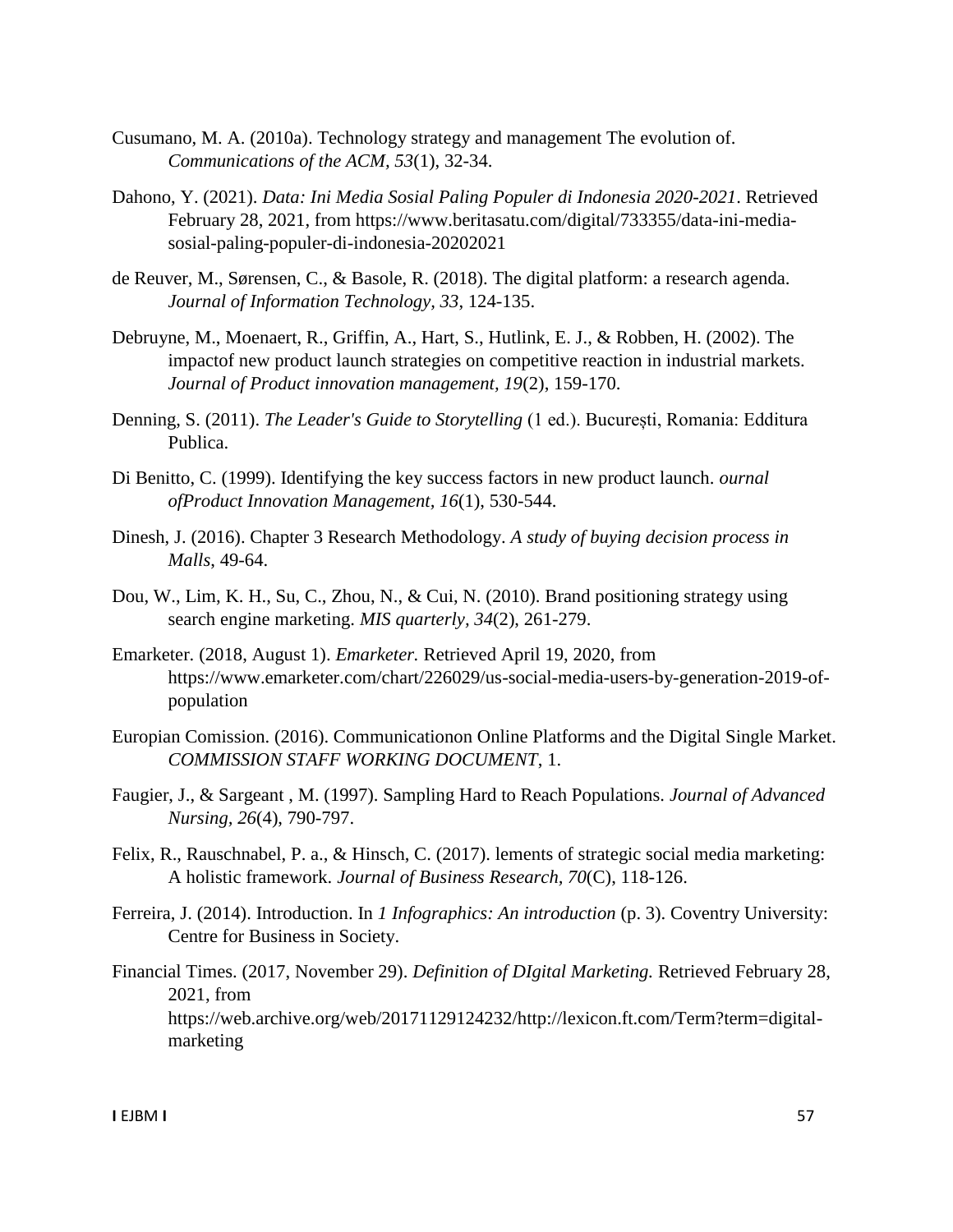- Cusumano, M. A. (2010a). Technology strategy and management The evolution of. *Communications of the ACM, 53*(1), 32-34.
- Dahono, Y. (2021). *Data: Ini Media Sosial Paling Populer di Indonesia 2020-2021*. Retrieved February 28, 2021, from https://www.beritasatu.com/digital/733355/data-ini-mediasosial-paling-populer-di-indonesia-20202021
- de Reuver, M., Sørensen, C., & Basole, R. (2018). The digital platform: a research agenda. *Journal of Information Technology, 33*, 124-135.
- Debruyne, M., Moenaert, R., Griffin, A., Hart, S., Hutlink, E. J., & Robben, H. (2002). The impactof new product launch strategies on competitive reaction in industrial markets. *Journal of Product innovation management, 19*(2), 159-170.
- Denning, S. (2011). *The Leader's Guide to Storytelling* (1 ed.). București, Romania: Edditura Publica.
- Di Benitto, C. (1999). Identifying the key success factors in new product launch. *ournal ofProduct Innovation Management, 16*(1), 530-544.
- Dinesh, J. (2016). Chapter 3 Research Methodology. *A study of buying decision process in Malls*, 49-64.
- Dou, W., Lim, K. H., Su, C., Zhou, N., & Cui, N. (2010). Brand positioning strategy using search engine marketing. *MIS quarterly, 34*(2), 261-279.
- Emarketer. (2018, August 1). *Emarketer.* Retrieved April 19, 2020, from https://www.emarketer.com/chart/226029/us-social-media-users-by-generation-2019-ofpopulation
- Europian Comission. (2016). Communicationon Online Platforms and the Digital Single Market. *COMMISSION STAFF WORKING DOCUMENT*, 1.
- Faugier, J., & Sargeant , M. (1997). Sampling Hard to Reach Populations. *Journal of Advanced Nursing, 26*(4), 790-797.
- Felix, R., Rauschnabel, P. a., & Hinsch, C. (2017). lements of strategic social media marketing: A holistic framework. *Journal of Business Research, 70*(C), 118-126.
- Ferreira, J. (2014). Introduction. In *1 Infographics: An introduction* (p. 3). Coventry University: Centre for Business in Society.

Financial Times. (2017, November 29). *Definition of DIgital Marketing.* Retrieved February 28, 2021, from https://web.archive.org/web/20171129124232/http://lexicon.ft.com/Term?term=digitalmarketing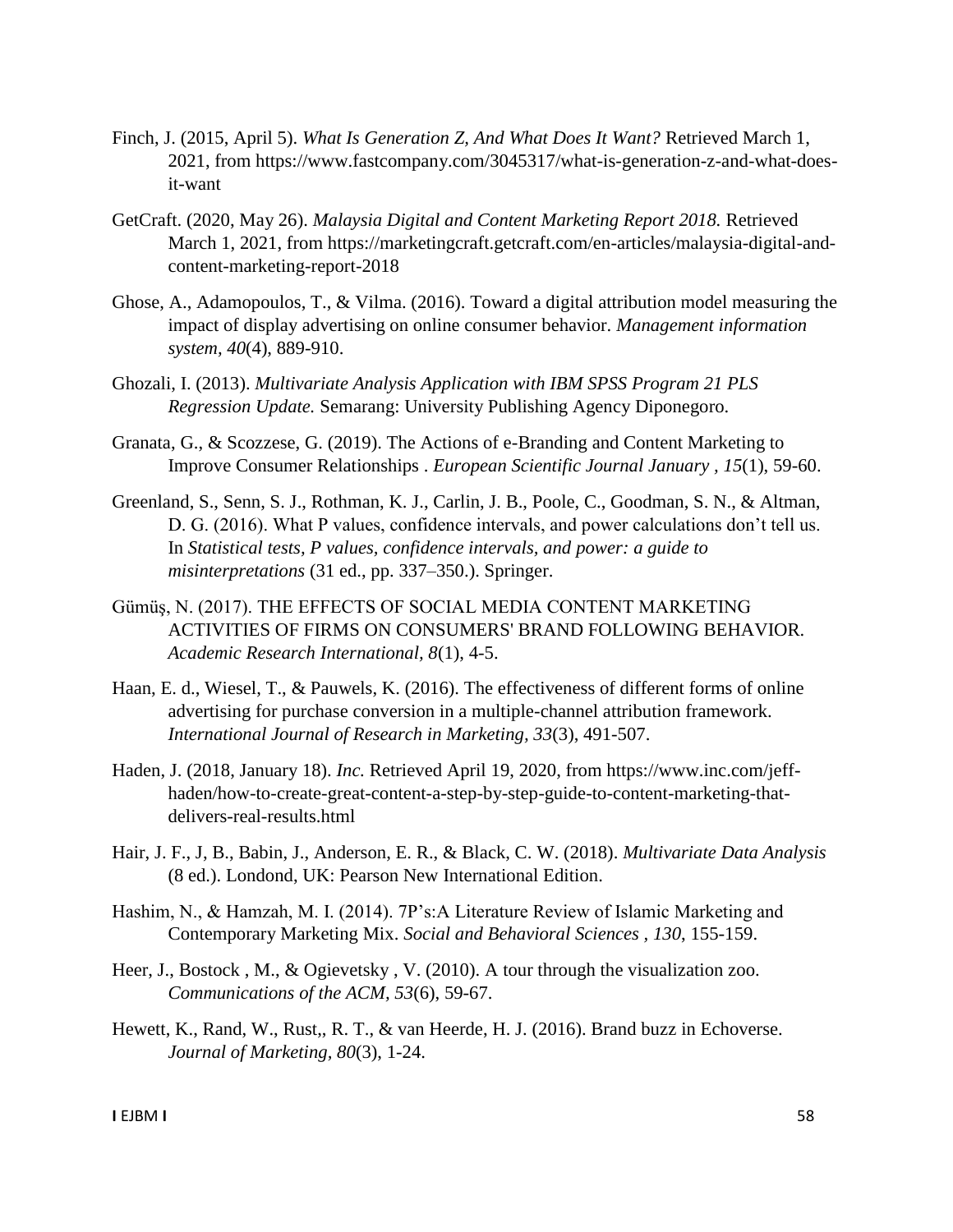- Finch, J. (2015, April 5). *What Is Generation Z, And What Does It Want?* Retrieved March 1, 2021, from https://www.fastcompany.com/3045317/what-is-generation-z-and-what-doesit-want
- GetCraft. (2020, May 26). *Malaysia Digital and Content Marketing Report 2018.* Retrieved March 1, 2021, from https://marketingcraft.getcraft.com/en-articles/malaysia-digital-andcontent-marketing-report-2018
- Ghose, A., Adamopoulos, T., & Vilma. (2016). Toward a digital attribution model measuring the impact of display advertising on online consumer behavior. *Management information system, 40*(4), 889-910.
- Ghozali, I. (2013). *Multivariate Analysis Application with IBM SPSS Program 21 PLS Regression Update.* Semarang: University Publishing Agency Diponegoro.
- Granata, G., & Scozzese, G. (2019). The Actions of e-Branding and Content Marketing to Improve Consumer Relationships . *European Scientific Journal January , 15*(1), 59-60.
- Greenland, S., Senn, S. J., Rothman, K. J., Carlin, J. B., Poole, C., Goodman, S. N., & Altman, D. G. (2016). What P values, confidence intervals, and power calculations don't tell us. In *Statistical tests, P values, confidence intervals, and power: a guide to misinterpretations* (31 ed., pp. 337–350.). Springer.
- Gümüş, N. (2017). THE EFFECTS OF SOCIAL MEDIA CONTENT MARKETING ACTIVITIES OF FIRMS ON CONSUMERS' BRAND FOLLOWING BEHAVIOR. *Academic Research International, 8*(1), 4-5.
- Haan, E. d., Wiesel, T., & Pauwels, K. (2016). The effectiveness of different forms of online advertising for purchase conversion in a multiple-channel attribution framework. *International Journal of Research in Marketing, 33*(3), 491-507.
- Haden, J. (2018, January 18). *Inc.* Retrieved April 19, 2020, from https://www.inc.com/jeffhaden/how-to-create-great-content-a-step-by-step-guide-to-content-marketing-thatdelivers-real-results.html
- Hair, J. F., J, B., Babin, J., Anderson, E. R., & Black, C. W. (2018). *Multivariate Data Analysis* (8 ed.). Londond, UK: Pearson New International Edition.
- Hashim, N., & Hamzah, M. I. (2014). 7P's:A Literature Review of Islamic Marketing and Contemporary Marketing Mix. *Social and Behavioral Sciences , 130*, 155-159.
- Heer, J., Bostock , M., & Ogievetsky , V. (2010). A tour through the visualization zoo. *Communications of the ACM, 53*(6), 59-67.
- Hewett, K., Rand, W., Rust,, R. T., & van Heerde, H. J. (2016). Brand buzz in Echoverse. *Journal of Marketing, 80*(3), 1-24.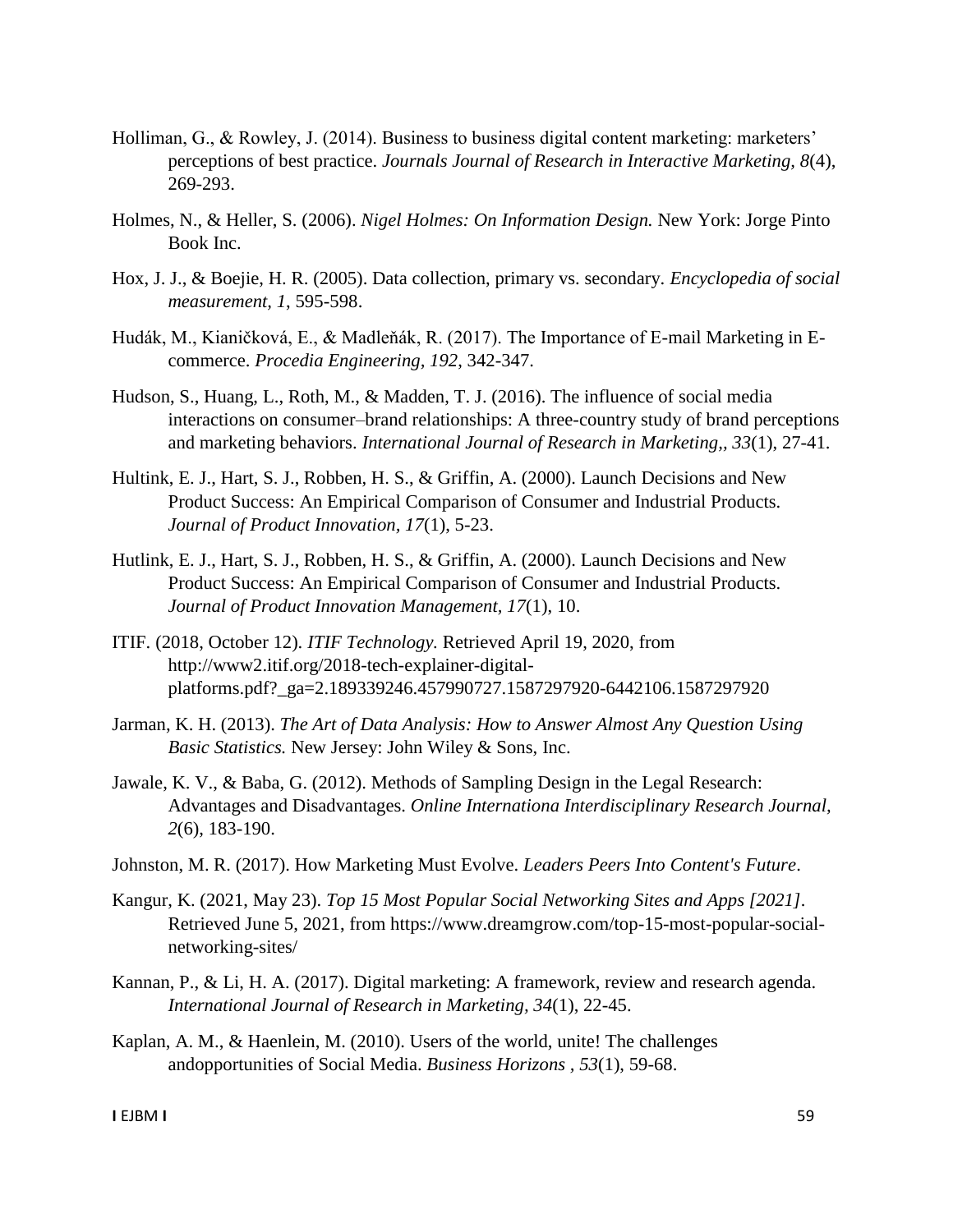- Holliman, G., & Rowley, J. (2014). Business to business digital content marketing: marketers' perceptions of best practice. *Journals Journal of Research in Interactive Marketing, 8*(4), 269-293.
- Holmes, N., & Heller, S. (2006). *Nigel Holmes: On Information Design.* New York: Jorge Pinto Book Inc.
- Hox, J. J., & Boejie, H. R. (2005). Data collection, primary vs. secondary. *Encyclopedia of social measurement, 1*, 595-598.
- Hudák, M., Kianičková, E., & Madleňák, R. (2017). The Importance of E-mail Marketing in Ecommerce. *Procedia Engineering, 192*, 342-347.
- Hudson, S., Huang, L., Roth, M., & Madden, T. J. (2016). The influence of social media interactions on consumer–brand relationships: A three-country study of brand perceptions and marketing behaviors. *International Journal of Research in Marketing,, 33*(1), 27-41.
- Hultink, E. J., Hart, S. J., Robben, H. S., & Griffin, A. (2000). Launch Decisions and New Product Success: An Empirical Comparison of Consumer and Industrial Products. *Journal of Product Innovation, 17*(1), 5-23.
- Hutlink, E. J., Hart, S. J., Robben, H. S., & Griffin, A. (2000). Launch Decisions and New Product Success: An Empirical Comparison of Consumer and Industrial Products. *Journal of Product Innovation Management, 17*(1), 10.
- ITIF. (2018, October 12). *ITIF Technology.* Retrieved April 19, 2020, from http://www2.itif.org/2018-tech-explainer-digitalplatforms.pdf?\_ga=2.189339246.457990727.1587297920-6442106.1587297920
- Jarman, K. H. (2013). *The Art of Data Analysis: How to Answer Almost Any Question Using Basic Statistics.* New Jersey: John Wiley & Sons, Inc.
- Jawale, K. V., & Baba, G. (2012). Methods of Sampling Design in the Legal Research: Advantages and Disadvantages. *Online Internationa Interdisciplinary Research Journal, 2*(6), 183-190.
- Johnston, M. R. (2017). How Marketing Must Evolve. *Leaders Peers Into Content's Future*.
- Kangur, K. (2021, May 23). *Top 15 Most Popular Social Networking Sites and Apps [2021].* Retrieved June 5, 2021, from https://www.dreamgrow.com/top-15-most-popular-socialnetworking-sites/
- Kannan, P., & Li, H. A. (2017). Digital marketing: A framework, review and research agenda. *International Journal of Research in Marketing, 34*(1), 22-45.
- Kaplan, A. M., & Haenlein, M. (2010). Users of the world, unite! The challenges andopportunities of Social Media. *Business Horizons , 53*(1), 59-68.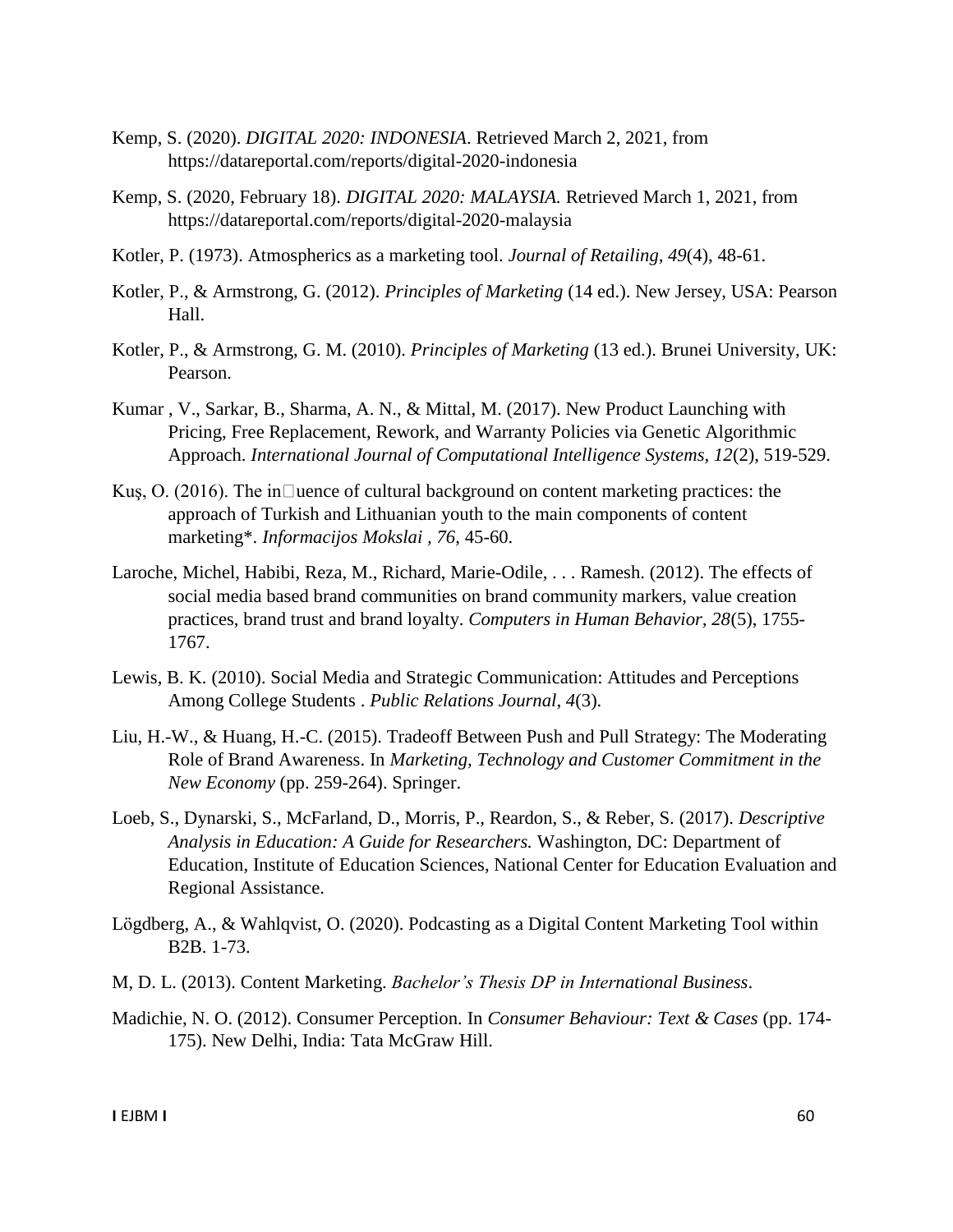- Kemp, S. (2020). *DIGITAL 2020: INDONESIA*. Retrieved March 2, 2021, from https://datareportal.com/reports/digital-2020-indonesia
- Kemp, S. (2020, February 18). *DIGITAL 2020: MALAYSIA.* Retrieved March 1, 2021, from https://datareportal.com/reports/digital-2020-malaysia
- Kotler, P. (1973). Atmospherics as a marketing tool. *Journal of Retailing, 49*(4), 48-61.
- Kotler, P., & Armstrong, G. (2012). *Principles of Marketing* (14 ed.). New Jersey, USA: Pearson Hall.
- Kotler, P., & Armstrong, G. M. (2010). *Principles of Marketing* (13 ed.). Brunei University, UK: Pearson.
- Kumar , V., Sarkar, B., Sharma, A. N., & Mittal, M. (2017). New Product Launching with Pricing, Free Replacement, Rework, and Warranty Policies via Genetic Algorithmic Approach. *International Journal of Computational Intelligence Systems, 12*(2), 519-529.
- Kus, O. (2016). The in uence of cultural background on content marketing practices: the approach of Turkish and Lithuanian youth to the main components of content marketing\*. *Informacijos Mokslai , 76*, 45-60.
- Laroche, Michel, Habibi, Reza, M., Richard, Marie-Odile, . . . Ramesh. (2012). The effects of social media based brand communities on brand community markers, value creation practices, brand trust and brand loyalty. *Computers in Human Behavior, 28*(5), 1755- 1767.
- Lewis, B. K. (2010). Social Media and Strategic Communication: Attitudes and Perceptions Among College Students . *Public Relations Journal, 4*(3).
- Liu, H.-W., & Huang, H.-C. (2015). Tradeoff Between Push and Pull Strategy: The Moderating Role of Brand Awareness. In *Marketing, Technology and Customer Commitment in the New Economy* (pp. 259-264). Springer.
- Loeb, S., Dynarski, S., McFarland, D., Morris, P., Reardon, S., & Reber, S. (2017). *Descriptive Analysis in Education: A Guide for Researchers.* Washington, DC: Department of Education, Institute of Education Sciences, National Center for Education Evaluation and Regional Assistance.
- Lögdberg, A., & Wahlqvist, O. (2020). Podcasting as a Digital Content Marketing Tool within B2B. 1-73.
- M, D. L. (2013). Content Marketing. *Bachelor's Thesis DP in International Business*.
- Madichie, N. O. (2012). Consumer Perception. In *Consumer Behaviour: Text & Cases* (pp. 174- 175). New Delhi, India: Tata McGraw Hill.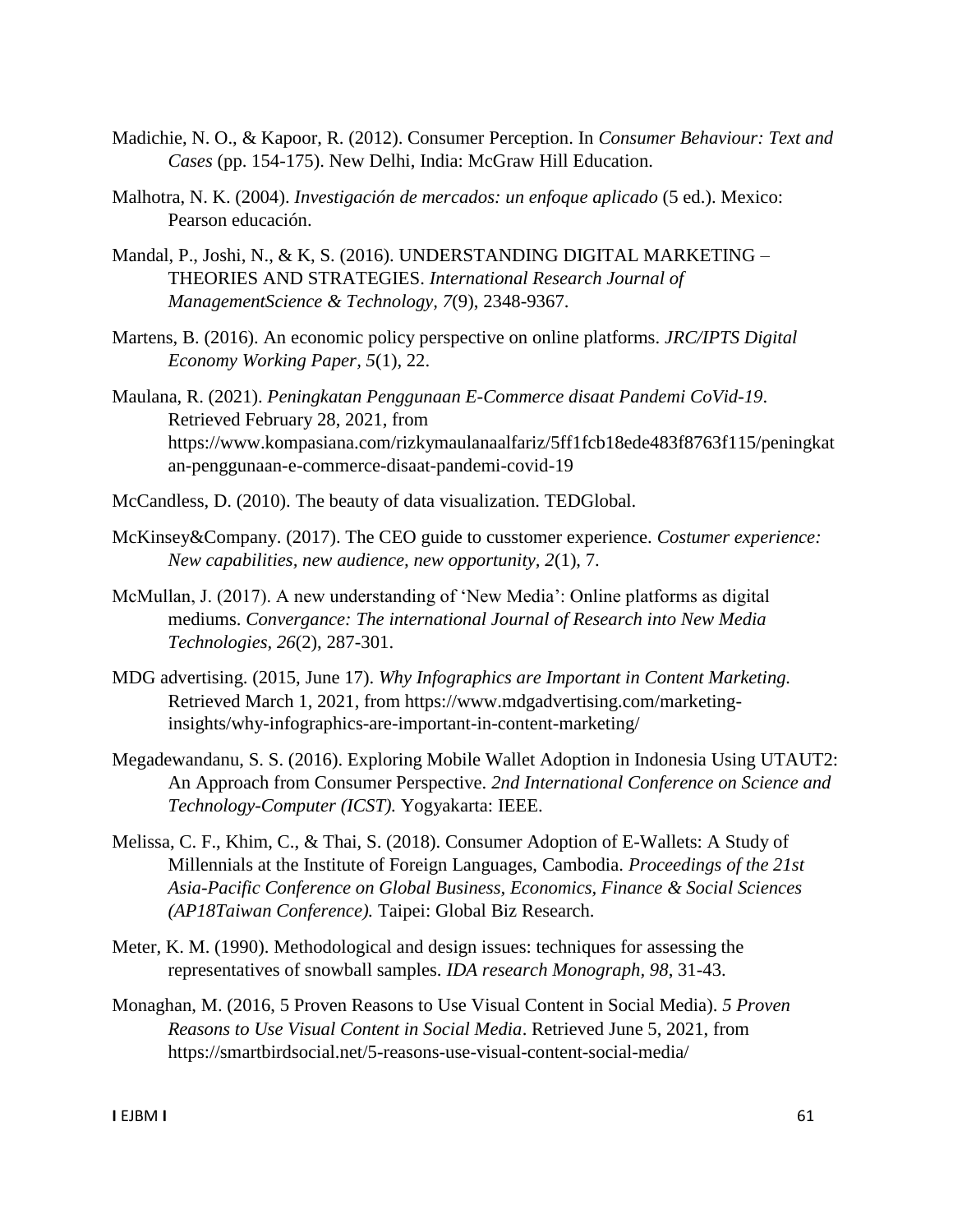- Madichie, N. O., & Kapoor, R. (2012). Consumer Perception. In *Consumer Behaviour: Text and Cases* (pp. 154-175). New Delhi, India: McGraw Hill Education.
- Malhotra, N. K. (2004). *Investigación de mercados: un enfoque aplicado* (5 ed.). Mexico: Pearson educación.
- Mandal, P., Joshi, N., & K, S. (2016). UNDERSTANDING DIGITAL MARKETING THEORIES AND STRATEGIES. *International Research Journal of ManagementScience & Technology, 7*(9), 2348-9367.
- Martens, B. (2016). An economic policy perspective on online platforms. *JRC/IPTS Digital Economy Working Paper, 5*(1), 22.
- Maulana, R. (2021). *Peningkatan Penggunaan E-Commerce disaat Pandemi CoVid-19*. Retrieved February 28, 2021, from https://www.kompasiana.com/rizkymaulanaalfariz/5ff1fcb18ede483f8763f115/peningkat an-penggunaan-e-commerce-disaat-pandemi-covid-19
- McCandless, D. (2010). The beauty of data visualization. TEDGlobal.
- McKinsey&Company. (2017). The CEO guide to cusstomer experience. *Costumer experience: New capabilities, new audience, new opportunity, 2*(1), 7.
- McMullan, J. (2017). A new understanding of 'New Media': Online platforms as digital mediums. *Convergance: The international Journal of Research into New Media Technologies, 26*(2), 287-301.
- MDG advertising. (2015, June 17). *Why Infographics are Important in Content Marketing.* Retrieved March 1, 2021, from https://www.mdgadvertising.com/marketinginsights/why-infographics-are-important-in-content-marketing/
- Megadewandanu, S. S. (2016). Exploring Mobile Wallet Adoption in Indonesia Using UTAUT2: An Approach from Consumer Perspective. *2nd International Conference on Science and Technology-Computer (ICST).* Yogyakarta: IEEE.
- Melissa, C. F., Khim, C., & Thai, S. (2018). Consumer Adoption of E-Wallets: A Study of Millennials at the Institute of Foreign Languages, Cambodia. *Proceedings of the 21st Asia-Pacific Conference on Global Business, Economics, Finance & Social Sciences (AP18Taiwan Conference).* Taipei: Global Biz Research.
- Meter, K. M. (1990). Methodological and design issues: techniques for assessing the representatives of snowball samples. *IDA research Monograph, 98*, 31-43.
- Monaghan, M. (2016, 5 Proven Reasons to Use Visual Content in Social Media). *5 Proven Reasons to Use Visual Content in Social Media*. Retrieved June 5, 2021, from https://smartbirdsocial.net/5-reasons-use-visual-content-social-media/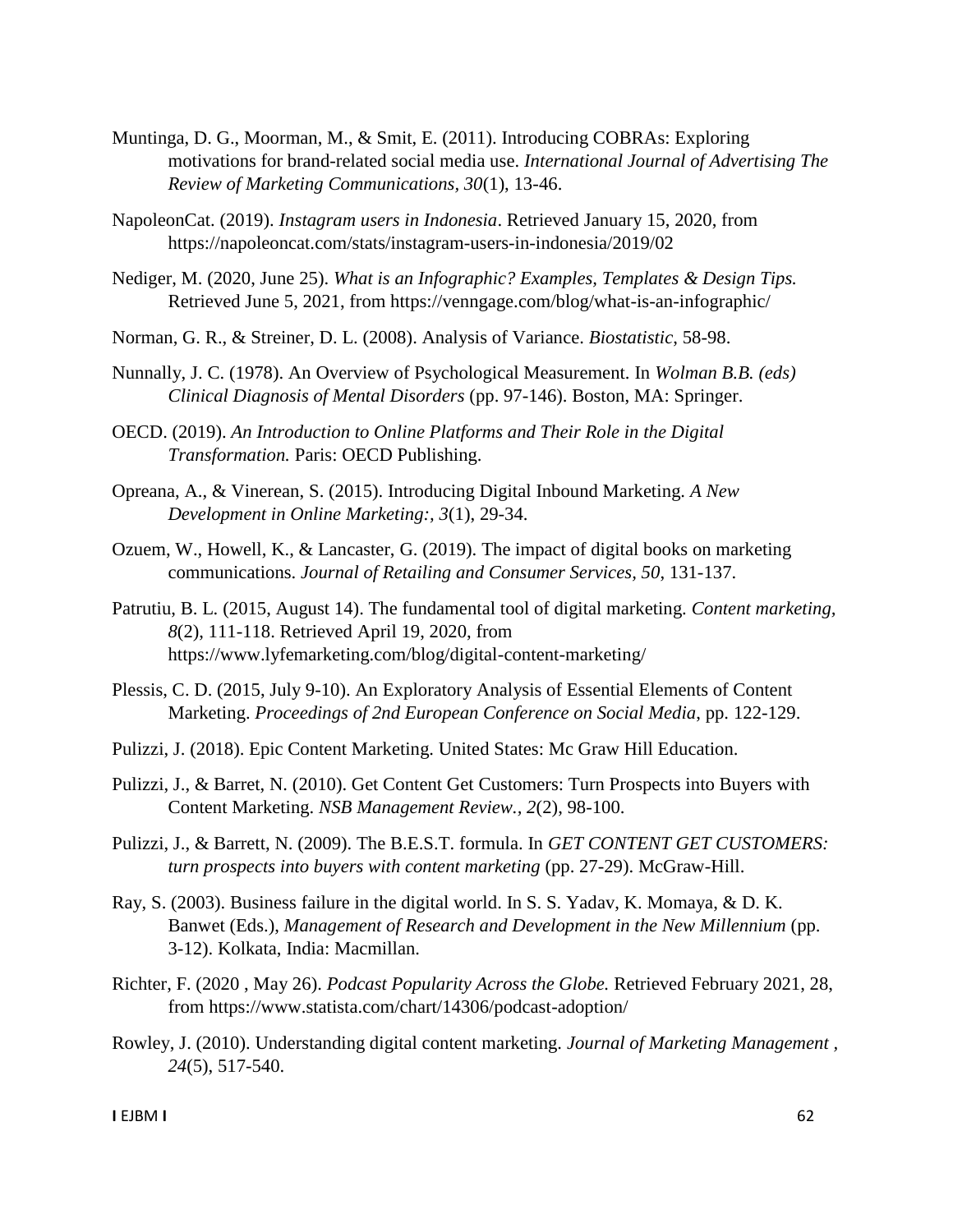- Muntinga, D. G., Moorman, M., & Smit, E. (2011). Introducing COBRAs: Exploring motivations for brand-related social media use. *International Journal of Advertising The Review of Marketing Communications, 30*(1), 13-46.
- NapoleonCat. (2019). *Instagram users in Indonesia*. Retrieved January 15, 2020, from https://napoleoncat.com/stats/instagram-users-in-indonesia/2019/02
- Nediger, M. (2020, June 25). *What is an Infographic? Examples, Templates & Design Tips.* Retrieved June 5, 2021, from https://venngage.com/blog/what-is-an-infographic/
- Norman, G. R., & Streiner, D. L. (2008). Analysis of Variance. *Biostatistic*, 58-98.
- Nunnally, J. C. (1978). An Overview of Psychological Measurement. In *Wolman B.B. (eds) Clinical Diagnosis of Mental Disorders* (pp. 97-146). Boston, MA: Springer.
- OECD. (2019). *An Introduction to Online Platforms and Their Role in the Digital Transformation.* Paris: OECD Publishing.
- Opreana, A., & Vinerean, S. (2015). Introducing Digital Inbound Marketing. *A New Development in Online Marketing:, 3*(1), 29-34.
- Ozuem, W., Howell, K., & Lancaster, G. (2019). The impact of digital books on marketing communications. *Journal of Retailing and Consumer Services, 50*, 131-137.
- Patrutiu, B. L. (2015, August 14). The fundamental tool of digital marketing. *Content marketing, 8*(2), 111-118. Retrieved April 19, 2020, from https://www.lyfemarketing.com/blog/digital-content-marketing/
- Plessis, C. D. (2015, July 9-10). An Exploratory Analysis of Essential Elements of Content Marketing. *Proceedings of 2nd European Conference on Social Media*, pp. 122-129.
- Pulizzi, J. (2018). Epic Content Marketing. United States: Mc Graw Hill Education.
- Pulizzi, J., & Barret, N. (2010). Get Content Get Customers: Turn Prospects into Buyers with Content Marketing. *NSB Management Review., 2*(2), 98-100.
- Pulizzi, J., & Barrett, N. (2009). The B.E.S.T. formula. In *GET CONTENT GET CUSTOMERS: turn prospects into buyers with content marketing* (pp. 27-29). McGraw-Hill.
- Ray, S. (2003). Business failure in the digital world. In S. S. Yadav, K. Momaya, & D. K. Banwet (Eds.), *Management of Research and Development in the New Millennium* (pp. 3-12). Kolkata, India: Macmillan.
- Richter, F. (2020 , May 26). *Podcast Popularity Across the Globe.* Retrieved February 2021, 28, from https://www.statista.com/chart/14306/podcast-adoption/
- Rowley, J. (2010). Understanding digital content marketing. *Journal of Marketing Management , 24*(5), 517-540.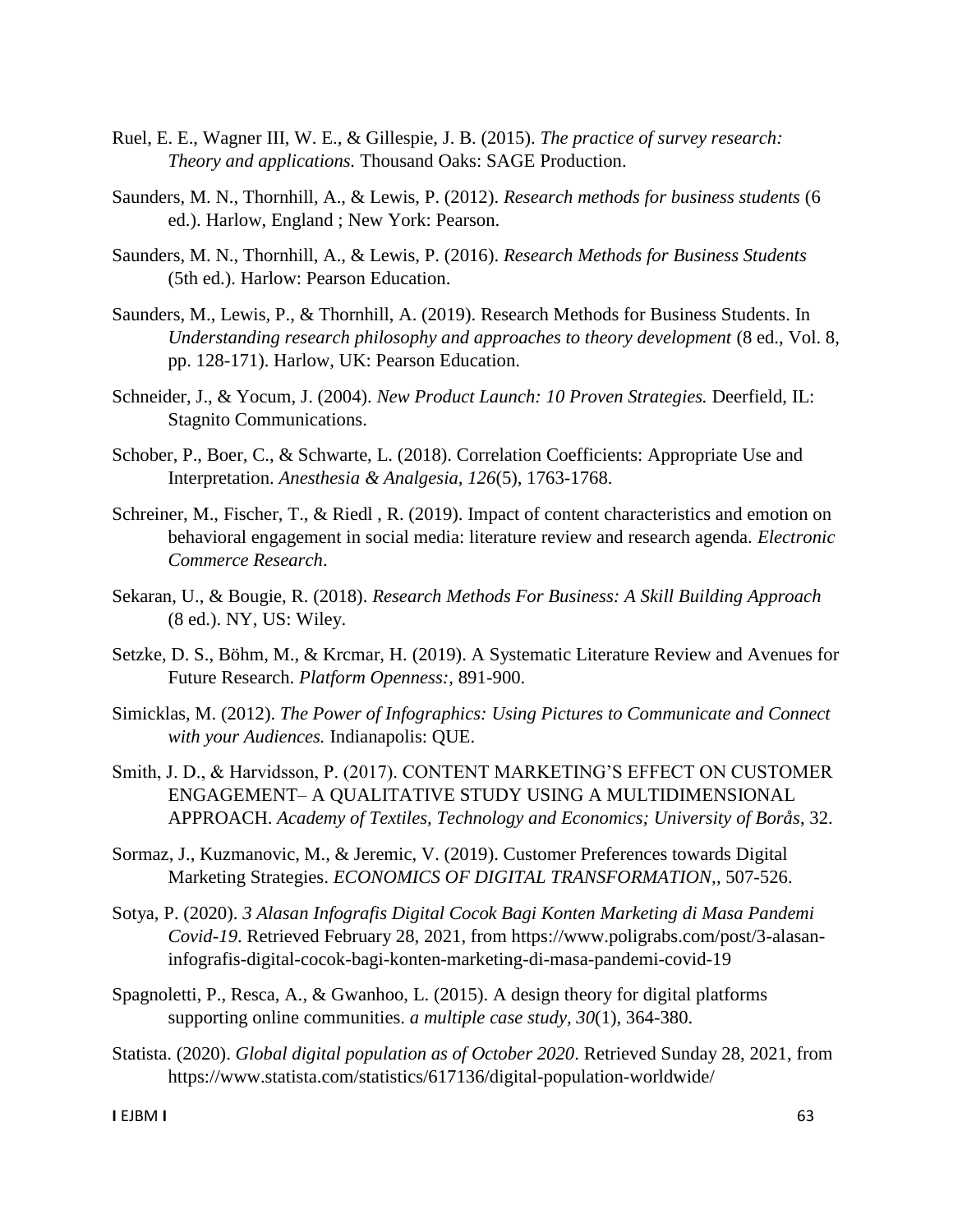- Ruel, E. E., Wagner III, W. E., & Gillespie, J. B. (2015). *The practice of survey research: Theory and applications.* Thousand Oaks: SAGE Production.
- Saunders, M. N., Thornhill, A., & Lewis, P. (2012). *Research methods for business students* (6 ed.). Harlow, England ; New York: Pearson.
- Saunders, M. N., Thornhill, A., & Lewis, P. (2016). *Research Methods for Business Students* (5th ed.). Harlow: Pearson Education.
- Saunders, M., Lewis, P., & Thornhill, A. (2019). Research Methods for Business Students. In *Understanding research philosophy and approaches to theory development* (8 ed., Vol. 8, pp. 128-171). Harlow, UK: Pearson Education.
- Schneider, J., & Yocum, J. (2004). *New Product Launch: 10 Proven Strategies.* Deerfield, IL: Stagnito Communications.
- Schober, P., Boer, C., & Schwarte, L. (2018). Correlation Coefficients: Appropriate Use and Interpretation. *Anesthesia & Analgesia, 126*(5), 1763-1768.
- Schreiner, M., Fischer, T., & Riedl , R. (2019). Impact of content characteristics and emotion on behavioral engagement in social media: literature review and research agenda. *Electronic Commerce Research*.
- Sekaran, U., & Bougie, R. (2018). *Research Methods For Business: A Skill Building Approach* (8 ed.). NY, US: Wiley.
- Setzke, D. S., Böhm, M., & Krcmar, H. (2019). A Systematic Literature Review and Avenues for Future Research. *Platform Openness:*, 891-900.
- Simicklas, M. (2012). *The Power of Infographics: Using Pictures to Communicate and Connect with your Audiences.* Indianapolis: QUE.
- Smith, J. D., & Harvidsson, P. (2017). CONTENT MARKETING'S EFFECT ON CUSTOMER ENGAGEMENT– A QUALITATIVE STUDY USING A MULTIDIMENSIONAL APPROACH. *Academy of Textiles, Technology and Economics; University of Borås*, 32.
- Sormaz, J., Kuzmanovic, M., & Jeremic, V. (2019). Customer Preferences towards Digital Marketing Strategies. *ECONOMICS OF DIGITAL TRANSFORMATION,*, 507-526.
- Sotya, P. (2020). *3 Alasan Infografis Digital Cocok Bagi Konten Marketing di Masa Pandemi Covid-19*. Retrieved February 28, 2021, from https://www.poligrabs.com/post/3-alasaninfografis-digital-cocok-bagi-konten-marketing-di-masa-pandemi-covid-19
- Spagnoletti, P., Resca, A., & Gwanhoo, L. (2015). A design theory for digital platforms supporting online communities. *a multiple case study, 30*(1), 364-380.
- Statista. (2020). *Global digital population as of October 2020*. Retrieved Sunday 28, 2021, from https://www.statista.com/statistics/617136/digital-population-worldwide/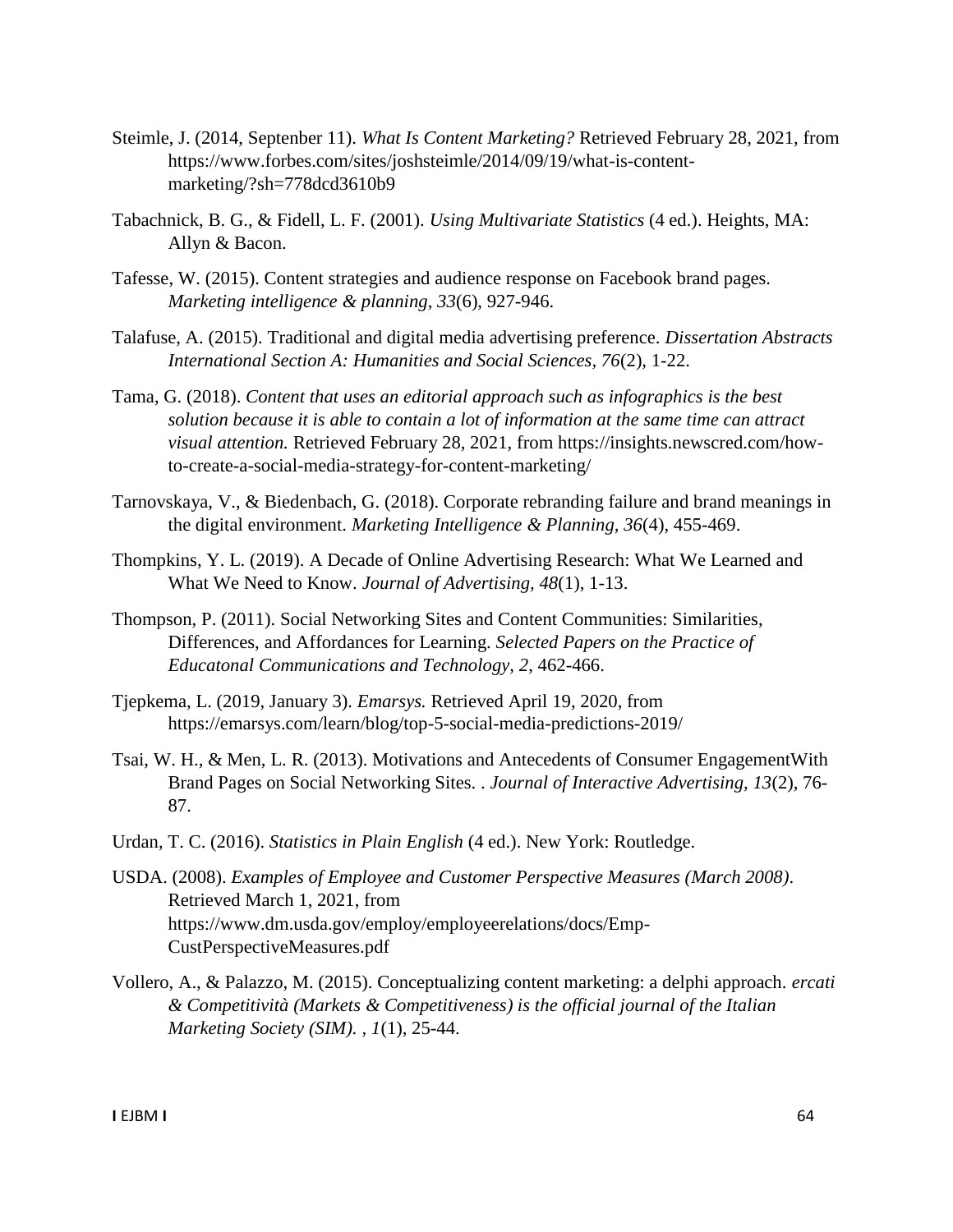- Steimle, J. (2014, Septenber 11). *What Is Content Marketing?* Retrieved February 28, 2021, from https://www.forbes.com/sites/joshsteimle/2014/09/19/what-is-contentmarketing/?sh=778dcd3610b9
- Tabachnick, B. G., & Fidell, L. F. (2001). *Using Multivariate Statistics* (4 ed.). Heights, MA: Allyn & Bacon.
- Tafesse, W. (2015). Content strategies and audience response on Facebook brand pages. *Marketing intelligence & planning, 33*(6), 927-946.
- Talafuse, A. (2015). Traditional and digital media advertising preference. *Dissertation Abstracts International Section A: Humanities and Social Sciences, 76*(2), 1-22.
- Tama, G. (2018). *Content that uses an editorial approach such as infographics is the best solution because it is able to contain a lot of information at the same time can attract visual attention.* Retrieved February 28, 2021, from https://insights.newscred.com/howto-create-a-social-media-strategy-for-content-marketing/
- Tarnovskaya, V., & Biedenbach, G. (2018). Corporate rebranding failure and brand meanings in the digital environment. *Marketing Intelligence & Planning, 36*(4), 455-469.
- Thompkins, Y. L. (2019). A Decade of Online Advertising Research: What We Learned and What We Need to Know. *Journal of Advertising, 48*(1), 1-13.
- Thompson, P. (2011). Social Networking Sites and Content Communities: Similarities, Differences, and Affordances for Learning. *Selected Papers on the Practice of Educatonal Communications and Technology, 2*, 462-466.
- Tjepkema, L. (2019, January 3). *Emarsys.* Retrieved April 19, 2020, from https://emarsys.com/learn/blog/top-5-social-media-predictions-2019/
- Tsai, W. H., & Men, L. R. (2013). Motivations and Antecedents of Consumer EngagementWith Brand Pages on Social Networking Sites. . *Journal of Interactive Advertising, 13*(2), 76- 87.
- Urdan, T. C. (2016). *Statistics in Plain English* (4 ed.). New York: Routledge.
- USDA. (2008). *Examples of Employee and Customer Perspective Measures (March 2008)*. Retrieved March 1, 2021, from https://www.dm.usda.gov/employ/employeerelations/docs/Emp-CustPerspectiveMeasures.pdf
- Vollero, A., & Palazzo, M. (2015). Conceptualizing content marketing: a delphi approach. *ercati & Competitività (Markets & Competitiveness) is the official journal of the Italian Marketing Society (SIM). , 1*(1), 25-44.